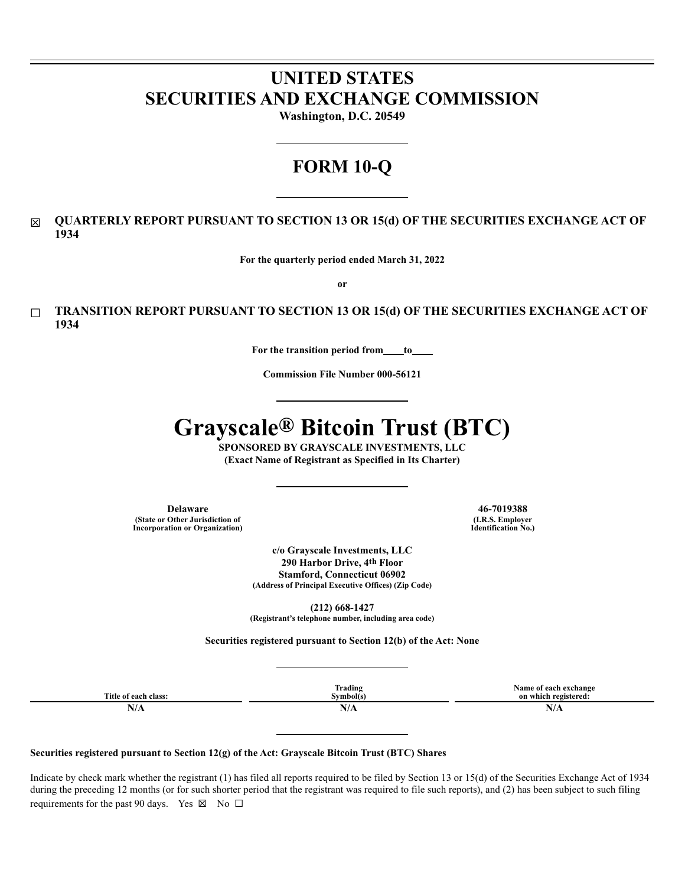# **UNITED STATES SECURITIES AND EXCHANGE COMMISSION**

**Washington, D.C. 20549**

# **FORM 10-Q**

# ☒ **QUARTERLY REPORT PURSUANT TO SECTION 13 OR 15(d) OF THE SECURITIES EXCHANGE ACT OF 1934**

**For the quarterly period ended March 31, 2022**

**or**

☐ **TRANSITION REPORT PURSUANT TO SECTION 13 OR 15(d) OF THE SECURITIES EXCHANGE ACT OF 1934**

For the transition period from\_\_to\_

**Commission File Number 000-56121**

# **Grayscale® Bitcoin Trust (BTC)**

**SPONSORED BY GRAYSCALE INVESTMENTS, LLC (Exact Name of Registrant as Specified in Its Charter)**

**Delaware 46-7019388**<br> **1998 Other Jurisdiction of CIRCS (State or Other Jurisdiction of (I.R.S. Employer Incorporation or Organization**)

**c/o Grayscale Investments, LLC 290 Harbor Drive, 4th Floor Stamford, Connecticut 06902 (Address of Principal Executive Offices) (Zip Code)**

**(212) 668-1427 (Registrant's telephone number, including area code)**

**Securities registered pursuant to Section 12(b) of the Act: None**

**Title of each class:**

**Trading Symbol(s)**

**Name of each exchange on which registered: N/A N/A N/A**

**Securities registered pursuant to Section 12(g) of the Act: Grayscale Bitcoin Trust (BTC) Shares**

Indicate by check mark whether the registrant (1) has filed all reports required to be filed by Section 13 or 15(d) of the Securities Exchange Act of 1934 during the preceding 12 months (or for such shorter period that the registrant was required to file such reports), and (2) has been subject to such filing requirements for the past 90 days. Yes  $\boxtimes$  No  $\Box$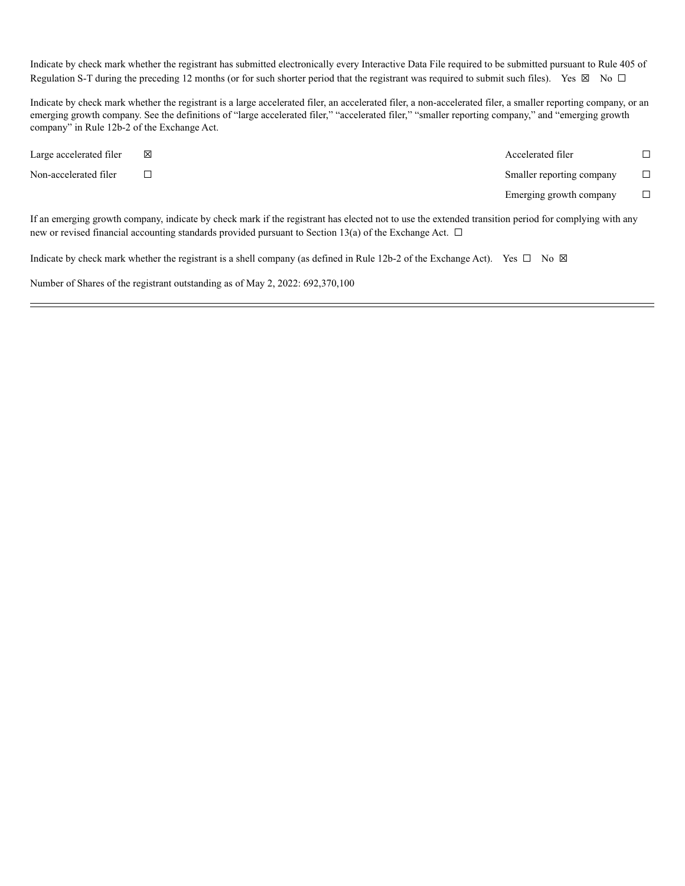Indicate by check mark whether the registrant has submitted electronically every Interactive Data File required to be submitted pursuant to Rule 405 of Regulation S-T during the preceding 12 months (or for such shorter period that the registrant was required to submit such files). Yes  $\boxtimes$  No  $\Box$ 

Indicate by check mark whether the registrant is a large accelerated filer, an accelerated filer, a non-accelerated filer, a smaller reporting company, or an emerging growth company. See the definitions of "large accelerated filer," "accelerated filer," "smaller reporting company," and "emerging growth company" in Rule 12b-2 of the Exchange Act.

| Large accelerated filer | $\boxtimes$ | Accelerated filer         |  |
|-------------------------|-------------|---------------------------|--|
| Non-accelerated filer   |             | Smaller reporting company |  |
|                         |             | Emerging growth company   |  |

If an emerging growth company, indicate by check mark if the registrant has elected not to use the extended transition period for complying with any new or revised financial accounting standards provided pursuant to Section 13(a) of the Exchange Act. □

Indicate by check mark whether the registrant is a shell company (as defined in Rule 12b-2 of the Exchange Act). Yes  $\Box$  No  $\boxtimes$ 

Number of Shares of the registrant outstanding as of May 2, 2022: 692,370,100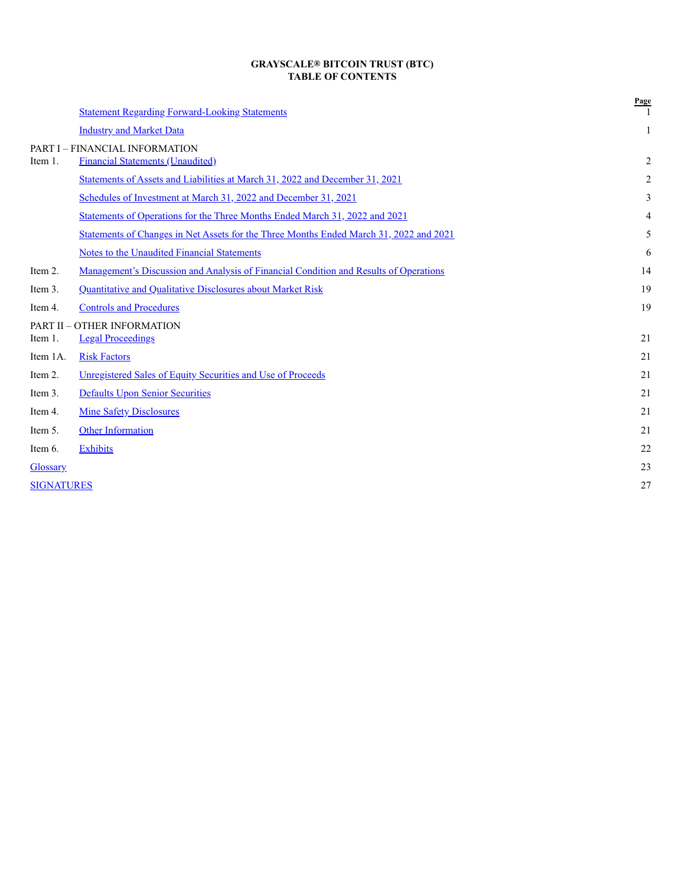# **GRAYSCALE® BITCOIN TRUST (BTC) TABLE OF CONTENTS**

|                   | <b>Statement Regarding Forward-Looking Statements</b>                                  | Page           |
|-------------------|----------------------------------------------------------------------------------------|----------------|
|                   | <b>Industry and Market Data</b>                                                        | $\mathbf{1}$   |
|                   | <b>PART I - FINANCIAL INFORMATION</b>                                                  |                |
| Item 1.           | <b>Financial Statements (Unaudited)</b>                                                | $\overline{c}$ |
|                   | Statements of Assets and Liabilities at March 31, 2022 and December 31, 2021           | $\overline{c}$ |
|                   | Schedules of Investment at March 31, 2022 and December 31, 2021                        | 3              |
|                   | Statements of Operations for the Three Months Ended March 31, 2022 and 2021            | 4              |
|                   | Statements of Changes in Net Assets for the Three Months Ended March 31, 2022 and 2021 | 5              |
|                   | <b>Notes to the Unaudited Financial Statements</b>                                     | 6              |
| Item 2.           | Management's Discussion and Analysis of Financial Condition and Results of Operations  | 14             |
| Item 3.           | Quantitative and Qualitative Disclosures about Market Risk                             | 19             |
| Item 4.           | <b>Controls and Procedures</b>                                                         | 19             |
|                   | <b>PART II - OTHER INFORMATION</b>                                                     |                |
| Item 1.           | <b>Legal Proceedings</b>                                                               | 21             |
| Item 1A.          | <b>Risk Factors</b>                                                                    | 21             |
| Item 2.           | Unregistered Sales of Equity Securities and Use of Proceeds                            | 21             |
| Item 3.           | <b>Defaults Upon Senior Securities</b>                                                 | 21             |
| Item 4.           | <b>Mine Safety Disclosures</b>                                                         | 21             |
| Item 5.           | <b>Other Information</b>                                                               | 21             |
| Item 6.           | <b>Exhibits</b>                                                                        | 22             |
| <b>Glossary</b>   |                                                                                        | 23             |
| <b>SIGNATURES</b> |                                                                                        | 27             |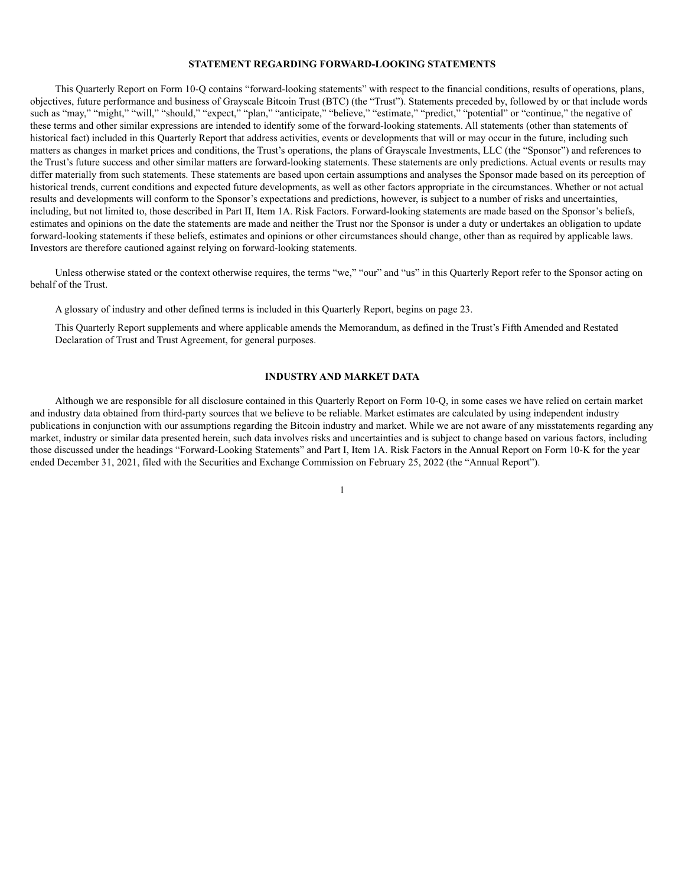#### **STATEMENT REGARDING FORWARD-LOOKING STATEMENTS**

This Quarterly Report on Form 10-Q contains "forward-looking statements" with respect to the financial conditions, results of operations, plans, objectives, future performance and business of Grayscale Bitcoin Trust (BTC) (the "Trust"). Statements preceded by, followed by or that include words such as "may," "might," "will," "should," "expect," "plan," "anticipate," "believe," "estimate," "predict," "potential" or "continue," the negative of these terms and other similar expressions are intended to identify some of the forward-looking statements. All statements (other than statements of historical fact) included in this Quarterly Report that address activities, events or developments that will or may occur in the future, including such matters as changes in market prices and conditions, the Trust's operations, the plans of Grayscale Investments, LLC (the "Sponsor") and references to the Trust's future success and other similar matters are forward-looking statements. These statements are only predictions. Actual events or results may differ materially from such statements. These statements are based upon certain assumptions and analyses the Sponsor made based on its perception of historical trends, current conditions and expected future developments, as well as other factors appropriate in the circumstances. Whether or not actual results and developments will conform to the Sponsor's expectations and predictions, however, is subject to a number of risks and uncertainties, including, but not limited to, those described in Part II, Item 1A. Risk Factors. Forward-looking statements are made based on the Sponsor's beliefs, estimates and opinions on the date the statements are made and neither the Trust nor the Sponsor is under a duty or undertakes an obligation to update forward-looking statements if these beliefs, estimates and opinions or other circumstances should change, other than as required by applicable laws. Investors are therefore cautioned against relying on forward-looking statements.

Unless otherwise stated or the context otherwise requires, the terms "we," "our" and "us" in this Quarterly Report refer to the Sponsor acting on behalf of the Trust.

A glossary of industry and other defined terms is included in this Quarterly Report, begins on page 23.

This Quarterly Report supplements and where applicable amends the Memorandum, as defined in the Trust's Fifth Amended and Restated Declaration of Trust and Trust Agreement, for general purposes.

# **INDUSTRY AND MARKET DATA**

Although we are responsible for all disclosure contained in this Quarterly Report on Form 10-Q, in some cases we have relied on certain market and industry data obtained from third-party sources that we believe to be reliable. Market estimates are calculated by using independent industry publications in conjunction with our assumptions regarding the Bitcoin industry and market. While we are not aware of any misstatements regarding any market, industry or similar data presented herein, such data involves risks and uncertainties and is subject to change based on various factors, including those discussed under the headings "Forward-Looking Statements" and Part I, Item 1A. Risk Factors in the Annual Report on Form 10-K for the year ended December 31, 2021, filed with the Securities and Exchange Commission on February 25, 2022 (the "Annual Report").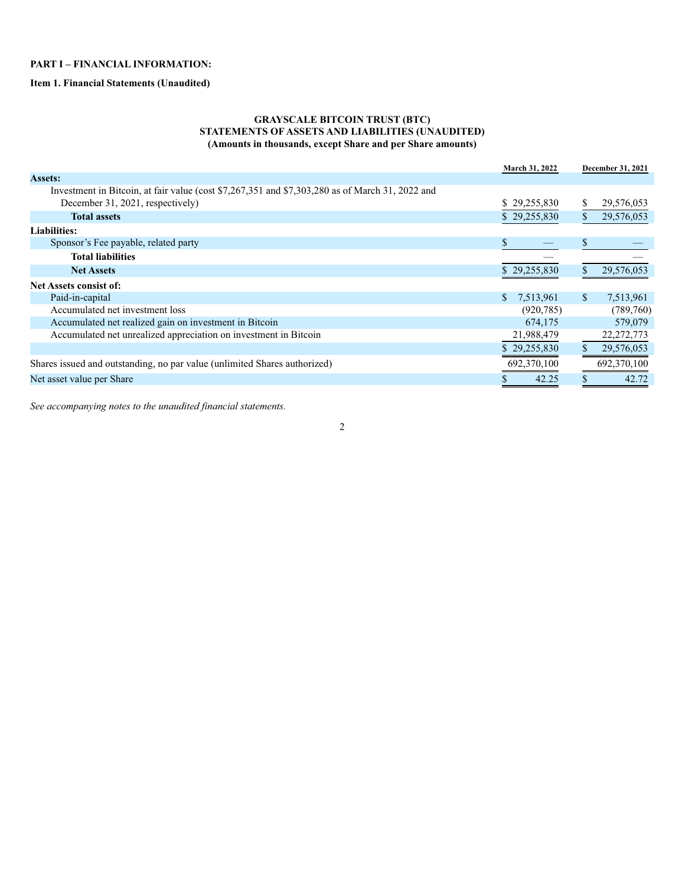# **PART I – FINANCIAL INFORMATION:**

# **Item 1. Financial Statements (Unaudited)**

# **GRAYSCALE BITCOIN TRUST (BTC) STATEMENTS OF ASSETS AND LIABILITIES (UNAUDITED) (Amounts in thousands, except Share and per Share amounts)**

|                                                                                                 | March 31, 2022            | December 31, 2021           |
|-------------------------------------------------------------------------------------------------|---------------------------|-----------------------------|
| <b>Assets:</b>                                                                                  |                           |                             |
| Investment in Bitcoin, at fair value (cost \$7,267,351 and \$7,303,280 as of March 31, 2022 and |                           |                             |
| December 31, 2021, respectively)                                                                | \$29,255,830              | S<br>29,576,053             |
| <b>Total assets</b>                                                                             | \$29,255,830              | \$<br>29,576,053            |
| Liabilities:                                                                                    |                           |                             |
| Sponsor's Fee payable, related party                                                            | S.                        | \$                          |
| <b>Total liabilities</b>                                                                        |                           |                             |
| <b>Net Assets</b>                                                                               | \$29,255,830              | 29,576,053                  |
| <b>Net Assets consist of:</b>                                                                   |                           |                             |
| Paid-in-capital                                                                                 | 7,513,961<br><sup>S</sup> | <sup>\$</sup><br>7,513,961  |
| Accumulated net investment loss                                                                 | (920, 785)                | (789,760)                   |
| Accumulated net realized gain on investment in Bitcoin                                          | 674,175                   | 579,079                     |
| Accumulated net unrealized appreciation on investment in Bitcoin                                | 21,988,479                | 22, 272, 773                |
|                                                                                                 | \$29,255,830              | $\mathcal{S}$<br>29,576,053 |
| Shares issued and outstanding, no par value (unlimited Shares authorized)                       | 692,370,100               | 692,370,100                 |
| Net asset value per Share                                                                       | 42.25                     | 42.72                       |

*See accompanying notes to the unaudited financial statements.*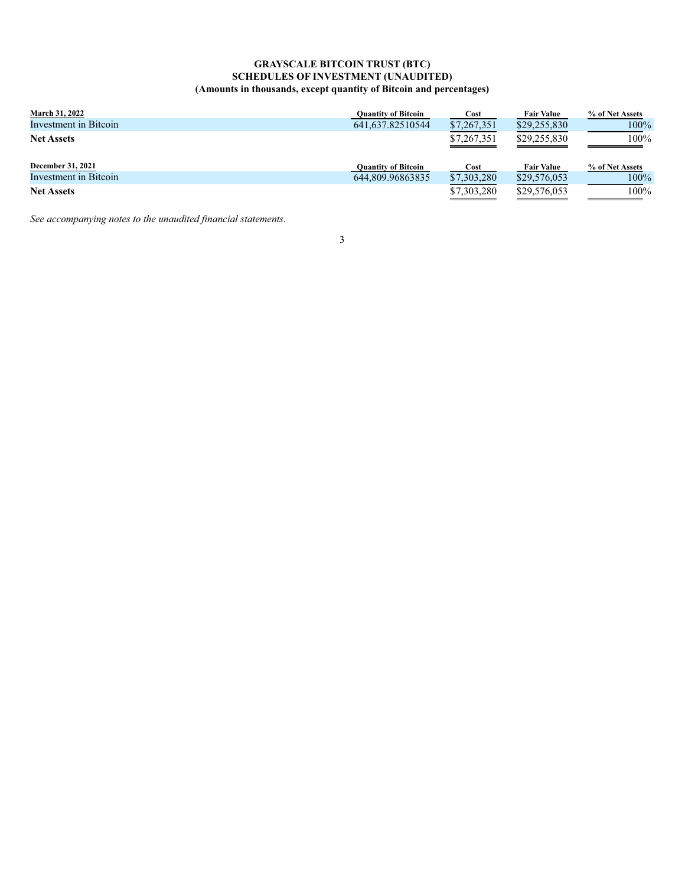# **GRAYSCALE BITCOIN TRUST (BTC) SCHEDULES OF INVESTMENT (UNAUDITED) (Amounts in thousands, except quantity of Bitcoin and percentages)**

| <b>March 31, 2022</b> | <b>Quantity of Bitcoin</b> | Cost        | <b>Fair Value</b> | % of Net Assets |
|-----------------------|----------------------------|-------------|-------------------|-----------------|
| Investment in Bitcoin | 641,637.82510544           | \$7,267,351 | \$29,255,830      | $100\%$         |
| <b>Net Assets</b>     |                            | \$7,267,351 | \$29,255,830      | $100\%$         |
| December 31, 2021     | <b>Ouantity of Bitcoin</b> | Cost        | <b>Fair Value</b> | % of Net Assets |
| Investment in Bitcoin | 644,809,96863835           | \$7,303,280 | \$29,576,053      | $100\%$         |
| <b>Net Assets</b>     |                            | \$7,303,280 | \$29,576,053      | $100\%$         |

*See accompanying notes to the unaudited financial statements.*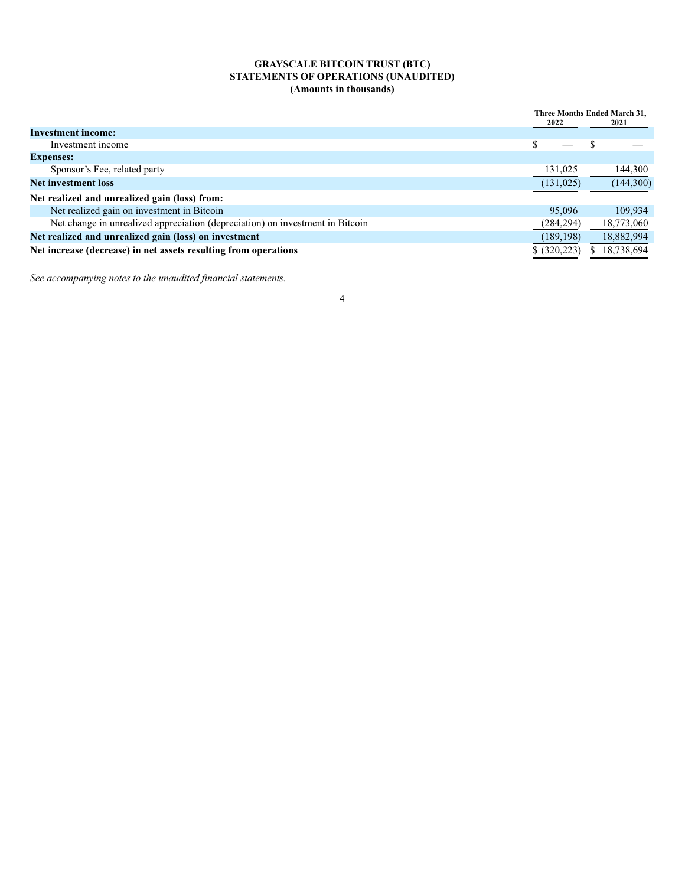# **GRAYSCALE BITCOIN TRUST (BTC) STATEMENTS OF OPERATIONS (UNAUDITED) (Amounts in thousands)**

|                                                                               | 2022         |         |   | Three Months Ended March 31,<br>2021 |
|-------------------------------------------------------------------------------|--------------|---------|---|--------------------------------------|
| <b>Investment income:</b>                                                     |              |         |   |                                      |
| Investment income                                                             |              |         |   |                                      |
| <b>Expenses:</b>                                                              |              |         |   |                                      |
| Sponsor's Fee, related party                                                  |              | 131,025 |   | 144,300                              |
| <b>Net investment loss</b>                                                    | (131, 025)   |         |   | (144,300)                            |
| Net realized and unrealized gain (loss) from:                                 |              |         |   |                                      |
| Net realized gain on investment in Bitcoin                                    |              | 95,096  |   | 109.934                              |
| Net change in unrealized appreciation (depreciation) on investment in Bitcoin | (284, 294)   |         |   | 18,773,060                           |
| Net realized and unrealized gain (loss) on investment                         | (189, 198)   |         |   | 18,882,994                           |
| Net increase (decrease) in net assets resulting from operations               | \$ (320,223) |         | S | 18,738,694                           |

*See accompanying notes to the unaudited financial statements.*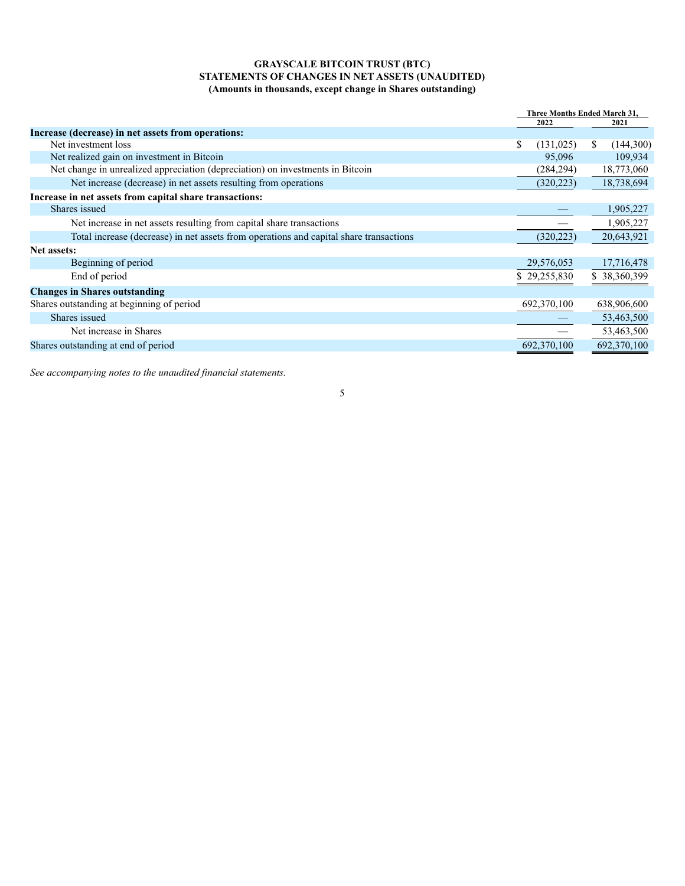# **GRAYSCALE BITCOIN TRUST (BTC) STATEMENTS OF CHANGES IN NET ASSETS (UNAUDITED) (Amounts in thousands, except change in Shares outstanding)**

|                                                                                        |                 | Three Months Ended March 31, |
|----------------------------------------------------------------------------------------|-----------------|------------------------------|
|                                                                                        | 2022            | 2021                         |
| Increase (decrease) in net assets from operations:                                     |                 |                              |
| Net investment loss                                                                    | S<br>(131, 025) | (144,300)<br>S               |
| Net realized gain on investment in Bitcoin                                             | 95,096          | 109,934                      |
| Net change in unrealized appreciation (depreciation) on investments in Bitcoin         | (284, 294)      | 18,773,060                   |
| Net increase (decrease) in net assets resulting from operations                        | (320, 223)      | 18,738,694                   |
| Increase in net assets from capital share transactions:                                |                 |                              |
| Shares issued                                                                          |                 | 1,905,227                    |
| Net increase in net assets resulting from capital share transactions                   |                 | 1,905,227                    |
| Total increase (decrease) in net assets from operations and capital share transactions | (320, 223)      | 20,643,921                   |
| Net assets:                                                                            |                 |                              |
| Beginning of period                                                                    | 29,576,053      | 17,716,478                   |
| End of period                                                                          | \$29,255,830    | \$38,360,399                 |
| <b>Changes in Shares outstanding</b>                                                   |                 |                              |
| Shares outstanding at beginning of period                                              | 692,370,100     | 638,906,600                  |
| Shares issued                                                                          |                 | 53,463,500                   |
| Net increase in Shares                                                                 |                 | 53,463,500                   |
| Shares outstanding at end of period                                                    | 692,370,100     | 692,370,100                  |
|                                                                                        |                 |                              |

*See accompanying notes to the unaudited financial statements.*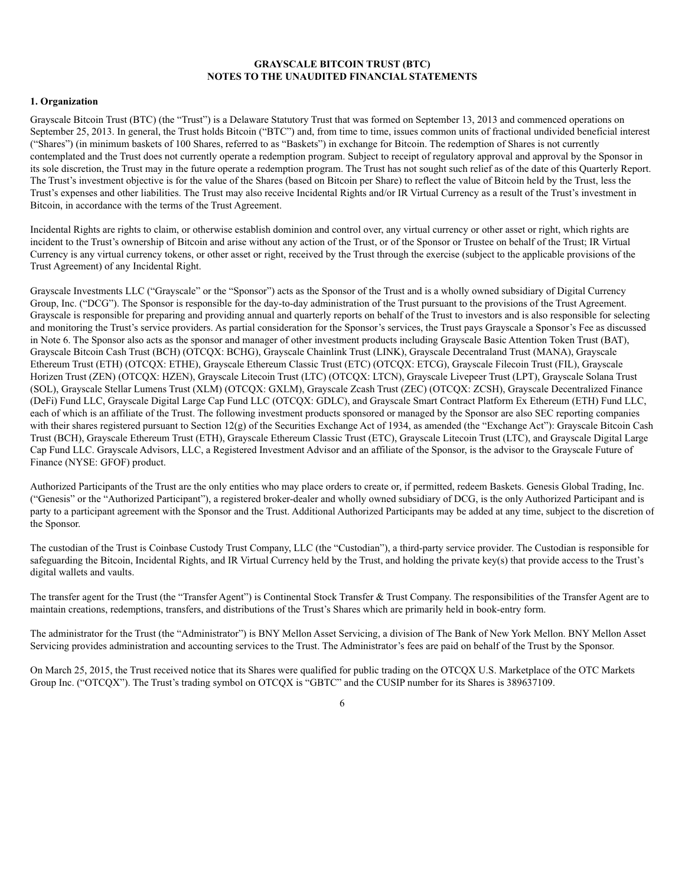# **GRAYSCALE BITCOIN TRUST (BTC) NOTES TO THE UNAUDITED FINANCIAL STATEMENTS**

#### **1. Organization**

Grayscale Bitcoin Trust (BTC) (the "Trust") is a Delaware Statutory Trust that was formed on September 13, 2013 and commenced operations on September 25, 2013. In general, the Trust holds Bitcoin ("BTC") and, from time to time, issues common units of fractional undivided beneficial interest ("Shares") (in minimum baskets of 100 Shares, referred to as "Baskets") in exchange for Bitcoin. The redemption of Shares is not currently contemplated and the Trust does not currently operate a redemption program. Subject to receipt of regulatory approval and approval by the Sponsor in its sole discretion, the Trust may in the future operate a redemption program. The Trust has not sought such relief as of the date of this Quarterly Report. The Trust's investment objective is for the value of the Shares (based on Bitcoin per Share) to reflect the value of Bitcoin held by the Trust, less the Trust's expenses and other liabilities. The Trust may also receive Incidental Rights and/or IR Virtual Currency as a result of the Trust's investment in Bitcoin, in accordance with the terms of the Trust Agreement.

Incidental Rights are rights to claim, or otherwise establish dominion and control over, any virtual currency or other asset or right, which rights are incident to the Trust's ownership of Bitcoin and arise without any action of the Trust, or of the Sponsor or Trustee on behalf of the Trust; IR Virtual Currency is any virtual currency tokens, or other asset or right, received by the Trust through the exercise (subject to the applicable provisions of the Trust Agreement) of any Incidental Right.

Grayscale Investments LLC ("Grayscale" or the "Sponsor") acts as the Sponsor of the Trust and is a wholly owned subsidiary of Digital Currency Group, Inc. ("DCG"). The Sponsor is responsible for the day-to-day administration of the Trust pursuant to the provisions of the Trust Agreement. Grayscale is responsible for preparing and providing annual and quarterly reports on behalf of the Trust to investors and is also responsible for selecting and monitoring the Trust's service providers. As partial consideration for the Sponsor's services, the Trust pays Grayscale a Sponsor's Fee as discussed in Note 6. The Sponsor also acts as the sponsor and manager of other investment products including Grayscale Basic Attention Token Trust (BAT), Grayscale Bitcoin Cash Trust (BCH) (OTCQX: BCHG), Grayscale Chainlink Trust (LINK), Grayscale Decentraland Trust (MANA), Grayscale Ethereum Trust (ETH) (OTCQX: ETHE), Grayscale Ethereum Classic Trust (ETC) (OTCQX: ETCG), Grayscale Filecoin Trust (FIL), Grayscale Horizen Trust (ZEN) (OTCQX: HZEN), Grayscale Litecoin Trust (LTC) (OTCQX: LTCN), Grayscale Livepeer Trust (LPT), Grayscale Solana Trust (SOL), Grayscale Stellar Lumens Trust (XLM) (OTCQX: GXLM), Grayscale Zcash Trust (ZEC) (OTCQX: ZCSH), Grayscale Decentralized Finance (DeFi) Fund LLC, Grayscale Digital Large Cap Fund LLC (OTCQX: GDLC), and Grayscale Smart Contract Platform Ex Ethereum (ETH) Fund LLC, each of which is an affiliate of the Trust. The following investment products sponsored or managed by the Sponsor are also SEC reporting companies with their shares registered pursuant to Section 12(g) of the Securities Exchange Act of 1934, as amended (the "Exchange Act"): Grayscale Bitcoin Cash Trust (BCH), Grayscale Ethereum Trust (ETH), Grayscale Ethereum Classic Trust (ETC), Grayscale Litecoin Trust (LTC), and Grayscale Digital Large Cap Fund LLC. Grayscale Advisors, LLC, a Registered Investment Advisor and an affiliate of the Sponsor, is the advisor to the Grayscale Future of Finance (NYSE: GFOF) product.

Authorized Participants of the Trust are the only entities who may place orders to create or, if permitted, redeem Baskets. Genesis Global Trading, Inc. ("Genesis" or the "Authorized Participant"), a registered broker-dealer and wholly owned subsidiary of DCG, is the only Authorized Participant and is party to a participant agreement with the Sponsor and the Trust. Additional Authorized Participants may be added at any time, subject to the discretion of the Sponsor.

The custodian of the Trust is Coinbase Custody Trust Company, LLC (the "Custodian"), a third-party service provider. The Custodian is responsible for safeguarding the Bitcoin, Incidental Rights, and IR Virtual Currency held by the Trust, and holding the private key(s) that provide access to the Trust's digital wallets and vaults.

The transfer agent for the Trust (the "Transfer Agent") is Continental Stock Transfer & Trust Company. The responsibilities of the Transfer Agent are to maintain creations, redemptions, transfers, and distributions of the Trust's Shares which are primarily held in book-entry form.

The administrator for the Trust (the "Administrator") is BNY Mellon Asset Servicing, a division of The Bank of New York Mellon. BNY Mellon Asset Servicing provides administration and accounting services to the Trust. The Administrator's fees are paid on behalf of the Trust by the Sponsor.

On March 25, 2015, the Trust received notice that its Shares were qualified for public trading on the OTCQX U.S. Marketplace of the OTC Markets Group Inc. ("OTCQX"). The Trust's trading symbol on OTCQX is "GBTC" and the CUSIP number for its Shares is 389637109.

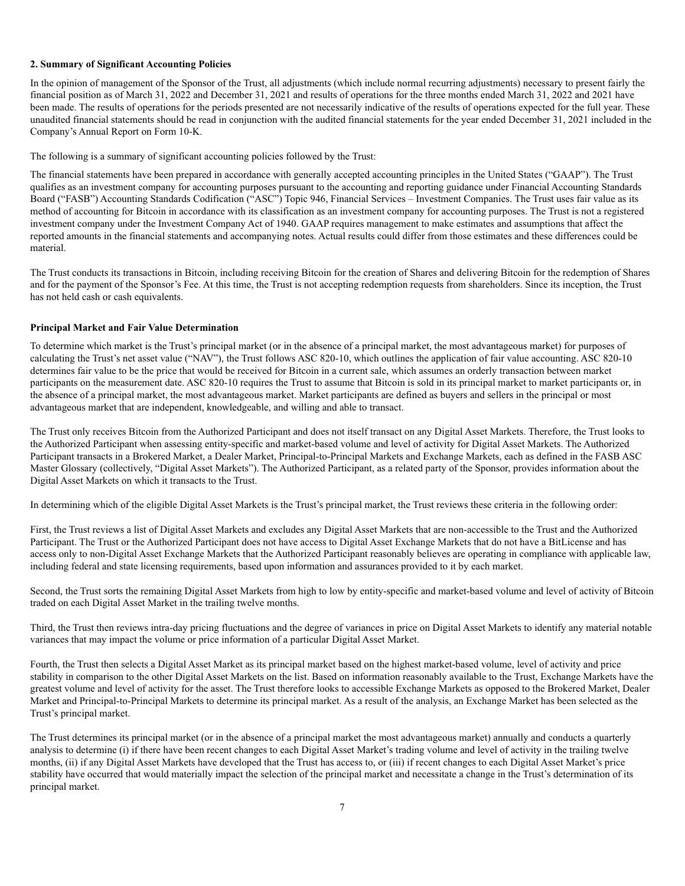#### **2. Summary of Significant Accounting Policies**

In the opinion of management of the Sponsor of the Trust, all adjustments (which include normal recurring adjustments) necessary to present fairly the financial position as of March 31, 2022 and December 31, 2021 and results of operations for the three months ended March 31, 2022 and 2021 have been made. The results of operations for the periods presented are not necessarily indicative of the results of operations expected for the full year. These unaudited financial statements should be read in conjunction with the audited financial statements for the year ended December 31, 2021 included in the Company's Annual Report on Form 10-K.

The following is a summary of significant accounting policies followed by the Trust:

The financial statements have been prepared in accordance with generally accepted accounting principles in the United States ("GAAP"). The Trust qualifies as an investment company for accounting purposes pursuant to the accounting and reporting guidance under Financial Accounting Standards Board ("FASB") Accounting Standards Codification ("ASC") Topic 946, Financial Services – Investment Companies. The Trust uses fair value as its method of accounting for Bitcoin in accordance with its classification as an investment company for accounting purposes. The Trust is not a registered investment company under the Investment Company Act of 1940. GAAP requires management to make estimates and assumptions that affect the reported amounts in the financial statements and accompanying notes. Actual results could differ from those estimates and these differences could be material.

The Trust conducts its transactions in Bitcoin, including receiving Bitcoin for the creation of Shares and delivering Bitcoin for the redemption of Shares and for the payment of the Sponsor's Fee. At this time, the Trust is not accepting redemption requests from shareholders. Since its inception, the Trust has not held cash or cash equivalents.

#### **Principal Market and Fair Value Determination**

To determine which market is the Trust's principal market (or in the absence of a principal market, the most advantageous market) for purposes of calculating the Trust's net asset value ("NAV"), the Trust follows ASC 820-10, which outlines the application of fair value accounting. ASC 820-10 determines fair value to be the price that would be received for Bitcoin in a current sale, which assumes an orderly transaction between market participants on the measurement date. ASC 820-10 requires the Trust to assume that Bitcoin is sold in its principal market to market participants or, in the absence of a principal market, the most advantageous market. Market participants are defined as buyers and sellers in the principal or most advantageous market that are independent, knowledgeable, and willing and able to transact.

The Trust only receives Bitcoin from the Authorized Participant and does not itself transact on any Digital Asset Markets. Therefore, the Trust looks to the Authorized Participant when assessing entity-specific and market-based volume and level of activity for Digital Asset Markets. The Authorized Participant transacts in a Brokered Market, a Dealer Market, Principal-to-Principal Markets and Exchange Markets, each as defined in the FASB ASC Master Glossary (collectively, "Digital Asset Markets"). The Authorized Participant, as a related party of the Sponsor, provides information about the Digital Asset Markets on which it transacts to the Trust.

In determining which of the eligible Digital Asset Markets is the Trust's principal market, the Trust reviews these criteria in the following order:

First, the Trust reviews a list of Digital Asset Markets and excludes any Digital Asset Markets that are non-accessible to the Trust and the Authorized Participant. The Trust or the Authorized Participant does not have access to Digital Asset Exchange Markets that do not have a BitLicense and has access only to non-Digital Asset Exchange Markets that the Authorized Participant reasonably believes are operating in compliance with applicable law, including federal and state licensing requirements, based upon information and assurances provided to it by each market.

Second, the Trust sorts the remaining Digital Asset Markets from high to low by entity-specific and market-based volume and level of activity of Bitcoin traded on each Digital Asset Market in the trailing twelve months.

Third, the Trust then reviews intra-day pricing fluctuations and the degree of variances in price on Digital Asset Markets to identify any material notable variances that may impact the volume or price information of a particular Digital Asset Market.

Fourth, the Trust then selects a Digital Asset Market as its principal market based on the highest market-based volume, level of activity and price stability in comparison to the other Digital Asset Markets on the list. Based on information reasonably available to the Trust, Exchange Markets have the greatest volume and level of activity for the asset. The Trust therefore looks to accessible Exchange Markets as opposed to the Brokered Market, Dealer Market and Principal-to-Principal Markets to determine its principal market. As a result of the analysis, an Exchange Market has been selected as the Trust's principal market.

The Trust determines its principal market (or in the absence of a principal market the most advantageous market) annually and conducts a quarterly analysis to determine (i) if there have been recent changes to each Digital Asset Market's trading volume and level of activity in the trailing twelve months, (ii) if any Digital Asset Markets have developed that the Trust has access to, or (iii) if recent changes to each Digital Asset Market's price stability have occurred that would materially impact the selection of the principal market and necessitate a change in the Trust's determination of its principal market.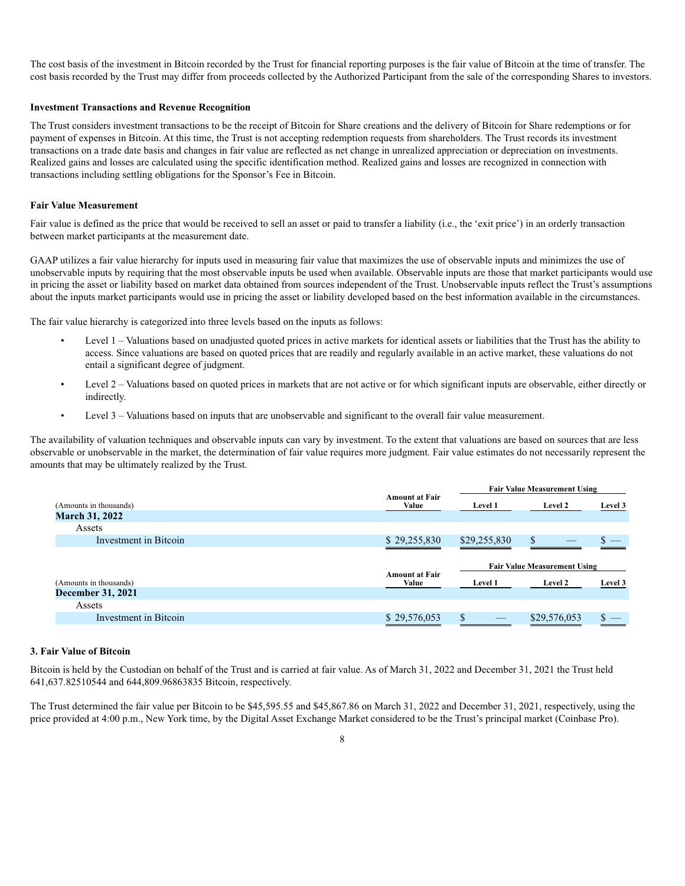The cost basis of the investment in Bitcoin recorded by the Trust for financial reporting purposes is the fair value of Bitcoin at the time of transfer. The cost basis recorded by the Trust may differ from proceeds collected by the Authorized Participant from the sale of the corresponding Shares to investors.

#### **Investment Transactions and Revenue Recognition**

The Trust considers investment transactions to be the receipt of Bitcoin for Share creations and the delivery of Bitcoin for Share redemptions or for payment of expenses in Bitcoin. At this time, the Trust is not accepting redemption requests from shareholders. The Trust records its investment transactions on a trade date basis and changes in fair value are reflected as net change in unrealized appreciation or depreciation on investments. Realized gains and losses are calculated using the specific identification method. Realized gains and losses are recognized in connection with transactions including settling obligations for the Sponsor's Fee in Bitcoin.

#### **Fair Value Measurement**

Fair value is defined as the price that would be received to sell an asset or paid to transfer a liability (i.e., the 'exit price') in an orderly transaction between market participants at the measurement date.

GAAP utilizes a fair value hierarchy for inputs used in measuring fair value that maximizes the use of observable inputs and minimizes the use of unobservable inputs by requiring that the most observable inputs be used when available. Observable inputs are those that market participants would use in pricing the asset or liability based on market data obtained from sources independent of the Trust. Unobservable inputs reflect the Trust's assumptions about the inputs market participants would use in pricing the asset or liability developed based on the best information available in the circumstances.

The fair value hierarchy is categorized into three levels based on the inputs as follows:

- Level 1 Valuations based on unadjusted quoted prices in active markets for identical assets or liabilities that the Trust has the ability to access. Since valuations are based on quoted prices that are readily and regularly available in an active market, these valuations do not entail a significant degree of judgment.
- Level 2 Valuations based on quoted prices in markets that are not active or for which significant inputs are observable, either directly or indirectly.
- Level 3 Valuations based on inputs that are unobservable and significant to the overall fair value measurement.

The availability of valuation techniques and observable inputs can vary by investment. To the extent that valuations are based on sources that are less observable or unobservable in the market, the determination of fair value requires more judgment. Fair value estimates do not necessarily represent the amounts that may be ultimately realized by the Trust.

|                                                    |                                | <b>Fair Value Measurement Using</b> |                                                |         |  |
|----------------------------------------------------|--------------------------------|-------------------------------------|------------------------------------------------|---------|--|
| (Amounts in thousands)<br><b>March 31, 2022</b>    | <b>Amount at Fair</b><br>Value | Level 1                             | Level 2                                        | Level 3 |  |
| Assets                                             |                                |                                     |                                                |         |  |
| Investment in Bitcoin                              | \$29,255,830                   | \$29,255,830                        | S                                              |         |  |
|                                                    |                                |                                     |                                                |         |  |
| (Amounts in thousands)<br><b>December 31, 2021</b> | <b>Amount at Fair</b><br>Value | Level 1                             | <b>Fair Value Measurement Using</b><br>Level 2 | Level 3 |  |
| Assets                                             |                                |                                     |                                                |         |  |

#### **3. Fair Value of Bitcoin**

Bitcoin is held by the Custodian on behalf of the Trust and is carried at fair value. As of March 31, 2022 and December 31, 2021 the Trust held 641,637.82510544 and 644,809.96863835 Bitcoin, respectively.

The Trust determined the fair value per Bitcoin to be \$45,595.55 and \$45,867.86 on March 31, 2022 and December 31, 2021, respectively, using the price provided at 4:00 p.m., New York time, by the Digital Asset Exchange Market considered to be the Trust's principal market (Coinbase Pro).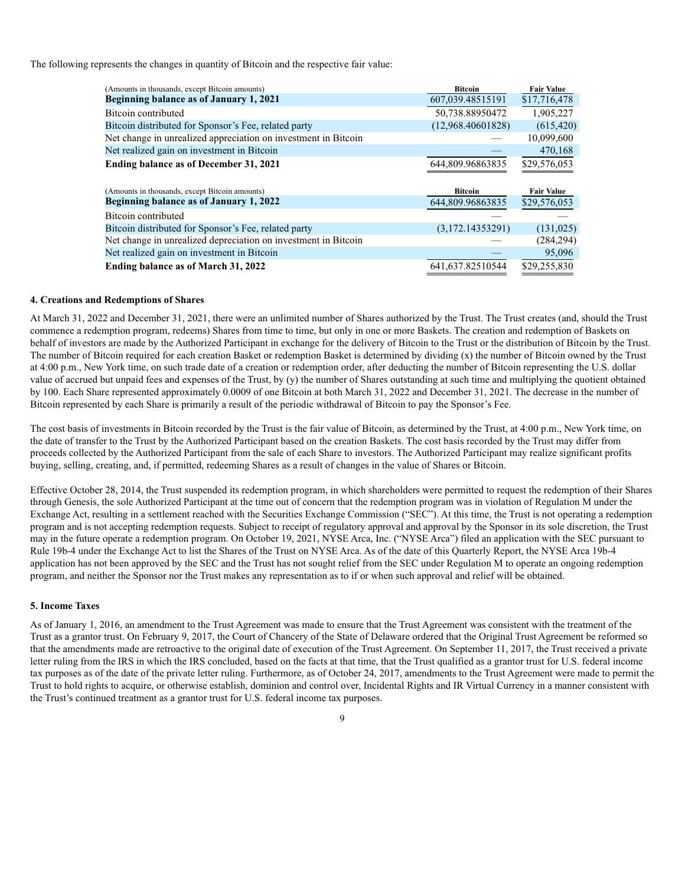The following represents the changes in quantity of Bitcoin and the respective fair value:

| (Amounts in thousands, except Bitcoin amounts)                 | <b>Bitcoin</b>    | <b>Fair Value</b> |
|----------------------------------------------------------------|-------------------|-------------------|
| Beginning balance as of January 1, 2021                        | 607,039.48515191  | \$17,716,478      |
| Bitcoin contributed                                            | 50,738.88950472   | 1,905,227         |
| Bitcoin distributed for Sponsor's Fee, related party           | (12,968,40601828) | (615, 420)        |
| Net change in unrealized appreciation on investment in Bitcoin |                   | 10,099,600        |
| Net realized gain on investment in Bitcoin                     |                   | 470,168           |
| Ending balance as of December 31, 2021                         | 644,809.96863835  | \$29,576,053      |
|                                                                |                   |                   |
| (Amounts in thousands, except Bitcoin amounts)                 | <b>Bitcoin</b>    | <b>Fair Value</b> |
| Beginning balance as of January 1, 2022                        | 644,809.96863835  | \$29,576,053      |
| Bitcoin contributed                                            |                   |                   |
| Bitcoin distributed for Sponsor's Fee, related party           | (3,172,14353291)  | (131, 025)        |
| Net change in unrealized depreciation on investment in Bitcoin |                   | (284, 294)        |
| Net realized gain on investment in Bitcoin                     |                   | 95,096            |
| Ending balance as of March 31, 2022                            | 641,637.82510544  | \$29,255,830      |

#### **4. Creations and Redemptions of Shares**

At March 31, 2022 and December 31, 2021, there were an unlimited number of Shares authorized by the Trust. The Trust creates (and, should the Trust commence a redemption program, redeems) Shares from time to time, but only in one or more Baskets. The creation and redemption of Baskets on behalf of investors are made by the Authorized Participant in exchange for the delivery of Bitcoin to the Trust or the distribution of Bitcoin by the Trust. The number of Bitcoin required for each creation Basket or redemption Basket is determined by dividing (x) the number of Bitcoin owned by the Trust at 4:00 p.m., New York time, on such trade date of a creation or redemption order, after deducting the number of Bitcoin representing the U.S. dollar value of accrued but unpaid fees and expenses of the Trust, by (y) the number of Shares outstanding at such time and multiplying the quotient obtained by 100. Each Share represented approximately 0.0009 of one Bitcoin at both March 31, 2022 and December 31, 2021. The decrease in the number of Bitcoin represented by each Share is primarily a result of the periodic withdrawal of Bitcoin to pay the Sponsor's Fee.

The cost basis of investments in Bitcoin recorded by the Trust is the fair value of Bitcoin, as determined by the Trust, at 4:00 p.m., New York time, on the date of transfer to the Trust by the Authorized Participant based on the creation Baskets. The cost basis recorded by the Trust may differ from proceeds collected by the Authorized Participant from the sale of each Share to investors. The Authorized Participant may realize significant profits buying, selling, creating, and, if permitted, redeeming Shares as a result of changes in the value of Shares or Bitcoin.

Effective October 28, 2014, the Trust suspended its redemption program, in which shareholders were permitted to request the redemption of their Shares through Genesis, the sole Authorized Participant at the time out of concern that the redemption program was in violation of Regulation M under the Exchange Act, resulting in a settlement reached with the Securities Exchange Commission ("SEC"). At this time, the Trust is not operating a redemption program and is not accepting redemption requests. Subject to receipt of regulatory approval and approval by the Sponsor in its sole discretion, the Trust may in the future operate a redemption program. On October 19, 2021, NYSE Arca, Inc. ("NYSE Arca") filed an application with the SEC pursuant to Rule 19b-4 under the Exchange Act to list the Shares of the Trust on NYSE Arca. As of the date of this Quarterly Report, the NYSE Arca 19b-4 application has not been approved by the SEC and the Trust has not sought relief from the SEC under Regulation M to operate an ongoing redemption program, and neither the Sponsor nor the Trust makes any representation as to if or when such approval and relief will be obtained.

# **5. Income Taxes**

As of January 1, 2016, an amendment to the Trust Agreement was made to ensure that the Trust Agreement was consistent with the treatment of the Trust as a grantor trust. On February 9, 2017, the Court of Chancery of the State of Delaware ordered that the Original Trust Agreement be reformed so that the amendments made are retroactive to the original date of execution of the Trust Agreement. On September 11, 2017, the Trust received a private letter ruling from the IRS in which the IRS concluded, based on the facts at that time, that the Trust qualified as a grantor trust for U.S. federal income tax purposes as of the date of the private letter ruling. Furthermore, as of October 24, 2017, amendments to the Trust Agreement were made to permit the Trust to hold rights to acquire, or otherwise establish, dominion and control over, Incidental Rights and IR Virtual Currency in a manner consistent with the Trust's continued treatment as a grantor trust for U.S. federal income tax purposes.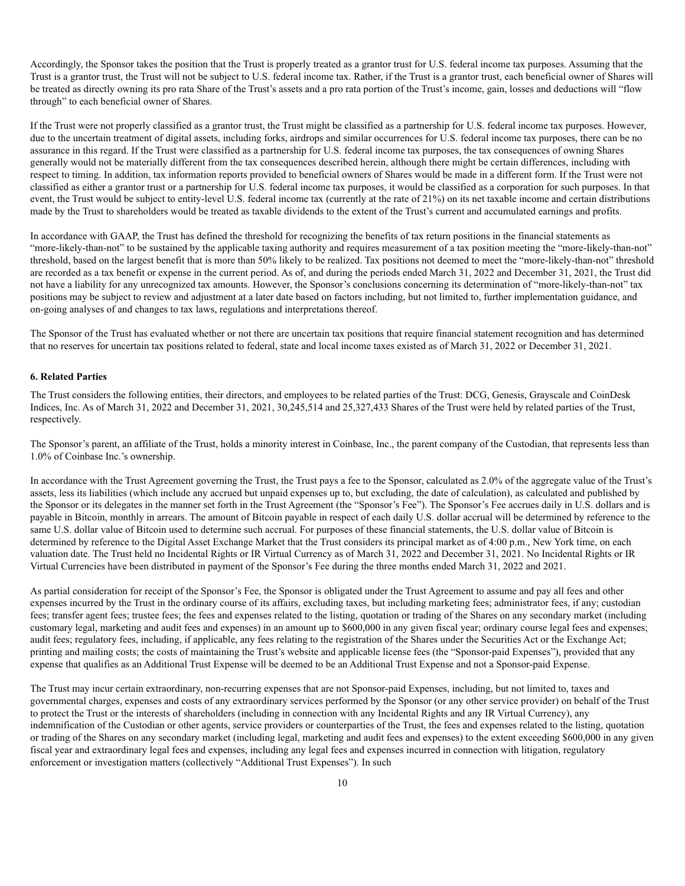Accordingly, the Sponsor takes the position that the Trust is properly treated as a grantor trust for U.S. federal income tax purposes. Assuming that the Trust is a grantor trust, the Trust will not be subject to U.S. federal income tax. Rather, if the Trust is a grantor trust, each beneficial owner of Shares will be treated as directly owning its pro rata Share of the Trust's assets and a pro rata portion of the Trust's income, gain, losses and deductions will "flow through" to each beneficial owner of Shares.

If the Trust were not properly classified as a grantor trust, the Trust might be classified as a partnership for U.S. federal income tax purposes. However, due to the uncertain treatment of digital assets, including forks, airdrops and similar occurrences for U.S. federal income tax purposes, there can be no assurance in this regard. If the Trust were classified as a partnership for U.S. federal income tax purposes, the tax consequences of owning Shares generally would not be materially different from the tax consequences described herein, although there might be certain differences, including with respect to timing. In addition, tax information reports provided to beneficial owners of Shares would be made in a different form. If the Trust were not classified as either a grantor trust or a partnership for U.S. federal income tax purposes, it would be classified as a corporation for such purposes. In that event, the Trust would be subject to entity-level U.S. federal income tax (currently at the rate of 21%) on its net taxable income and certain distributions made by the Trust to shareholders would be treated as taxable dividends to the extent of the Trust's current and accumulated earnings and profits.

In accordance with GAAP, the Trust has defined the threshold for recognizing the benefits of tax return positions in the financial statements as "more-likely-than-not" to be sustained by the applicable taxing authority and requires measurement of a tax position meeting the "more-likely-than-not" threshold, based on the largest benefit that is more than 50% likely to be realized. Tax positions not deemed to meet the "more-likely-than-not" threshold are recorded as a tax benefit or expense in the current period. As of, and during the periods ended March 31, 2022 and December 31, 2021, the Trust did not have a liability for any unrecognized tax amounts. However, the Sponsor's conclusions concerning its determination of "more-likely-than-not" tax positions may be subject to review and adjustment at a later date based on factors including, but not limited to, further implementation guidance, and on-going analyses of and changes to tax laws, regulations and interpretations thereof.

The Sponsor of the Trust has evaluated whether or not there are uncertain tax positions that require financial statement recognition and has determined that no reserves for uncertain tax positions related to federal, state and local income taxes existed as of March 31, 2022 or December 31, 2021.

#### **6. Related Parties**

The Trust considers the following entities, their directors, and employees to be related parties of the Trust: DCG, Genesis, Grayscale and CoinDesk Indices, Inc. As of March 31, 2022 and December 31, 2021, 30,245,514 and 25,327,433 Shares of the Trust were held by related parties of the Trust, respectively.

The Sponsor's parent, an affiliate of the Trust, holds a minority interest in Coinbase, Inc., the parent company of the Custodian, that represents less than 1.0% of Coinbase Inc.'s ownership.

In accordance with the Trust Agreement governing the Trust, the Trust pays a fee to the Sponsor, calculated as 2.0% of the aggregate value of the Trust's assets, less its liabilities (which include any accrued but unpaid expenses up to, but excluding, the date of calculation), as calculated and published by the Sponsor or its delegates in the manner set forth in the Trust Agreement (the "Sponsor's Fee"). The Sponsor's Fee accrues daily in U.S. dollars and is payable in Bitcoin, monthly in arrears. The amount of Bitcoin payable in respect of each daily U.S. dollar accrual will be determined by reference to the same U.S. dollar value of Bitcoin used to determine such accrual. For purposes of these financial statements, the U.S. dollar value of Bitcoin is determined by reference to the Digital Asset Exchange Market that the Trust considers its principal market as of 4:00 p.m., New York time, on each valuation date. The Trust held no Incidental Rights or IR Virtual Currency as of March 31, 2022 and December 31, 2021. No Incidental Rights or IR Virtual Currencies have been distributed in payment of the Sponsor's Fee during the three months ended March 31, 2022 and 2021.

As partial consideration for receipt of the Sponsor's Fee, the Sponsor is obligated under the Trust Agreement to assume and pay all fees and other expenses incurred by the Trust in the ordinary course of its affairs, excluding taxes, but including marketing fees; administrator fees, if any; custodian fees; transfer agent fees; trustee fees; the fees and expenses related to the listing, quotation or trading of the Shares on any secondary market (including customary legal, marketing and audit fees and expenses) in an amount up to \$600,000 in any given fiscal year; ordinary course legal fees and expenses; audit fees; regulatory fees, including, if applicable, any fees relating to the registration of the Shares under the Securities Act or the Exchange Act; printing and mailing costs; the costs of maintaining the Trust's website and applicable license fees (the "Sponsor-paid Expenses"), provided that any expense that qualifies as an Additional Trust Expense will be deemed to be an Additional Trust Expense and not a Sponsor-paid Expense.

The Trust may incur certain extraordinary, non-recurring expenses that are not Sponsor-paid Expenses, including, but not limited to, taxes and governmental charges, expenses and costs of any extraordinary services performed by the Sponsor (or any other service provider) on behalf of the Trust to protect the Trust or the interests of shareholders (including in connection with any Incidental Rights and any IR Virtual Currency), any indemnification of the Custodian or other agents, service providers or counterparties of the Trust, the fees and expenses related to the listing, quotation or trading of the Shares on any secondary market (including legal, marketing and audit fees and expenses) to the extent exceeding \$600,000 in any given fiscal year and extraordinary legal fees and expenses, including any legal fees and expenses incurred in connection with litigation, regulatory enforcement or investigation matters (collectively "Additional Trust Expenses"). In such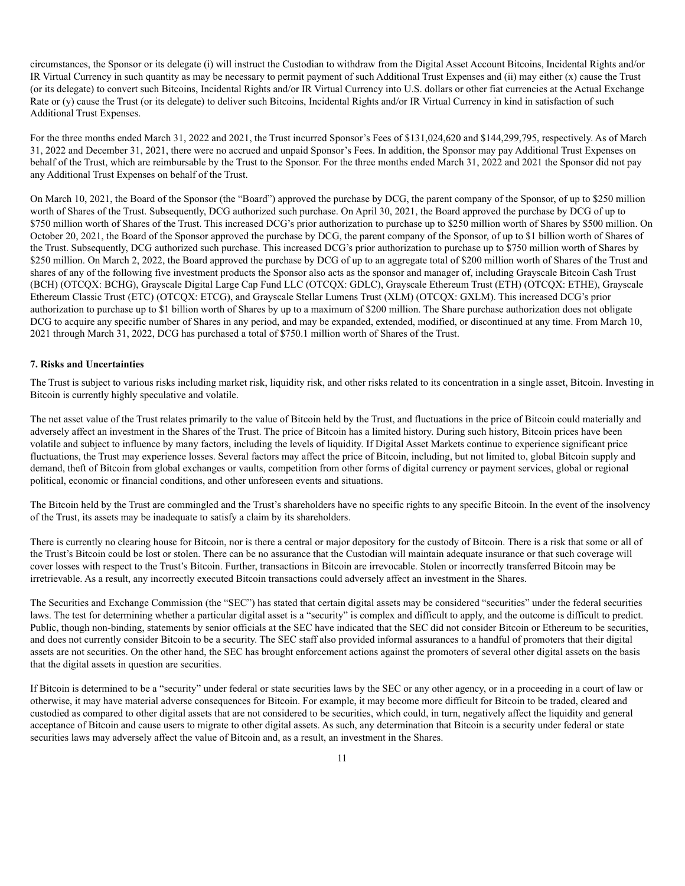circumstances, the Sponsor or its delegate (i) will instruct the Custodian to withdraw from the Digital Asset Account Bitcoins, Incidental Rights and/or IR Virtual Currency in such quantity as may be necessary to permit payment of such Additional Trust Expenses and (ii) may either (x) cause the Trust (or its delegate) to convert such Bitcoins, Incidental Rights and/or IR Virtual Currency into U.S. dollars or other fiat currencies at the Actual Exchange Rate or (y) cause the Trust (or its delegate) to deliver such Bitcoins, Incidental Rights and/or IR Virtual Currency in kind in satisfaction of such Additional Trust Expenses.

For the three months ended March 31, 2022 and 2021, the Trust incurred Sponsor's Fees of \$131,024,620 and \$144,299,795, respectively. As of March 31, 2022 and December 31, 2021, there were no accrued and unpaid Sponsor's Fees. In addition, the Sponsor may pay Additional Trust Expenses on behalf of the Trust, which are reimbursable by the Trust to the Sponsor. For the three months ended March 31, 2022 and 2021 the Sponsor did not pay any Additional Trust Expenses on behalf of the Trust.

On March 10, 2021, the Board of the Sponsor (the "Board") approved the purchase by DCG, the parent company of the Sponsor, of up to \$250 million worth of Shares of the Trust. Subsequently, DCG authorized such purchase. On April 30, 2021, the Board approved the purchase by DCG of up to \$750 million worth of Shares of the Trust. This increased DCG's prior authorization to purchase up to \$250 million worth of Shares by \$500 million. On October 20, 2021, the Board of the Sponsor approved the purchase by DCG, the parent company of the Sponsor, of up to \$1 billion worth of Shares of the Trust. Subsequently, DCG authorized such purchase. This increased DCG's prior authorization to purchase up to \$750 million worth of Shares by \$250 million. On March 2, 2022, the Board approved the purchase by DCG of up to an aggregate total of \$200 million worth of Shares of the Trust and shares of any of the following five investment products the Sponsor also acts as the sponsor and manager of, including Grayscale Bitcoin Cash Trust (BCH) (OTCQX: BCHG), Grayscale Digital Large Cap Fund LLC (OTCQX: GDLC), Grayscale Ethereum Trust (ETH) (OTCQX: ETHE), Grayscale Ethereum Classic Trust (ETC) (OTCQX: ETCG), and Grayscale Stellar Lumens Trust (XLM) (OTCQX: GXLM). This increased DCG's prior authorization to purchase up to \$1 billion worth of Shares by up to a maximum of \$200 million. The Share purchase authorization does not obligate DCG to acquire any specific number of Shares in any period, and may be expanded, extended, modified, or discontinued at any time. From March 10, 2021 through March 31, 2022, DCG has purchased a total of \$750.1 million worth of Shares of the Trust.

# **7. Risks and Uncertainties**

The Trust is subject to various risks including market risk, liquidity risk, and other risks related to its concentration in a single asset, Bitcoin. Investing in Bitcoin is currently highly speculative and volatile.

The net asset value of the Trust relates primarily to the value of Bitcoin held by the Trust, and fluctuations in the price of Bitcoin could materially and adversely affect an investment in the Shares of the Trust. The price of Bitcoin has a limited history. During such history, Bitcoin prices have been volatile and subject to influence by many factors, including the levels of liquidity. If Digital Asset Markets continue to experience significant price fluctuations, the Trust may experience losses. Several factors may affect the price of Bitcoin, including, but not limited to, global Bitcoin supply and demand, theft of Bitcoin from global exchanges or vaults, competition from other forms of digital currency or payment services, global or regional political, economic or financial conditions, and other unforeseen events and situations.

The Bitcoin held by the Trust are commingled and the Trust's shareholders have no specific rights to any specific Bitcoin. In the event of the insolvency of the Trust, its assets may be inadequate to satisfy a claim by its shareholders.

There is currently no clearing house for Bitcoin, nor is there a central or major depository for the custody of Bitcoin. There is a risk that some or all of the Trust's Bitcoin could be lost or stolen. There can be no assurance that the Custodian will maintain adequate insurance or that such coverage will cover losses with respect to the Trust's Bitcoin. Further, transactions in Bitcoin are irrevocable. Stolen or incorrectly transferred Bitcoin may be irretrievable. As a result, any incorrectly executed Bitcoin transactions could adversely affect an investment in the Shares.

The Securities and Exchange Commission (the "SEC") has stated that certain digital assets may be considered "securities" under the federal securities laws. The test for determining whether a particular digital asset is a "security" is complex and difficult to apply, and the outcome is difficult to predict. Public, though non-binding, statements by senior officials at the SEC have indicated that the SEC did not consider Bitcoin or Ethereum to be securities, and does not currently consider Bitcoin to be a security. The SEC staff also provided informal assurances to a handful of promoters that their digital assets are not securities. On the other hand, the SEC has brought enforcement actions against the promoters of several other digital assets on the basis that the digital assets in question are securities.

If Bitcoin is determined to be a "security" under federal or state securities laws by the SEC or any other agency, or in a proceeding in a court of law or otherwise, it may have material adverse consequences for Bitcoin. For example, it may become more difficult for Bitcoin to be traded, cleared and custodied as compared to other digital assets that are not considered to be securities, which could, in turn, negatively affect the liquidity and general acceptance of Bitcoin and cause users to migrate to other digital assets. As such, any determination that Bitcoin is a security under federal or state securities laws may adversely affect the value of Bitcoin and, as a result, an investment in the Shares.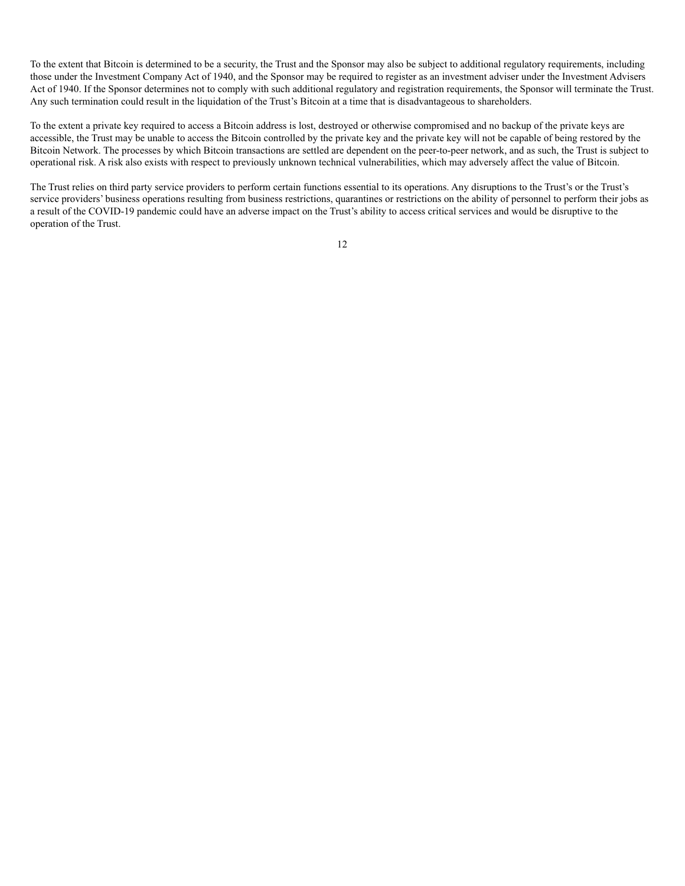To the extent that Bitcoin is determined to be a security, the Trust and the Sponsor may also be subject to additional regulatory requirements, including those under the Investment Company Act of 1940, and the Sponsor may be required to register as an investment adviser under the Investment Advisers Act of 1940. If the Sponsor determines not to comply with such additional regulatory and registration requirements, the Sponsor will terminate the Trust. Any such termination could result in the liquidation of the Trust's Bitcoin at a time that is disadvantageous to shareholders.

To the extent a private key required to access a Bitcoin address is lost, destroyed or otherwise compromised and no backup of the private keys are accessible, the Trust may be unable to access the Bitcoin controlled by the private key and the private key will not be capable of being restored by the Bitcoin Network. The processes by which Bitcoin transactions are settled are dependent on the peer-to-peer network, and as such, the Trust is subject to operational risk. A risk also exists with respect to previously unknown technical vulnerabilities, which may adversely affect the value of Bitcoin.

The Trust relies on third party service providers to perform certain functions essential to its operations. Any disruptions to the Trust's or the Trust's service providers' business operations resulting from business restrictions, quarantines or restrictions on the ability of personnel to perform their jobs as a result of the COVID-19 pandemic could have an adverse impact on the Trust's ability to access critical services and would be disruptive to the operation of the Trust.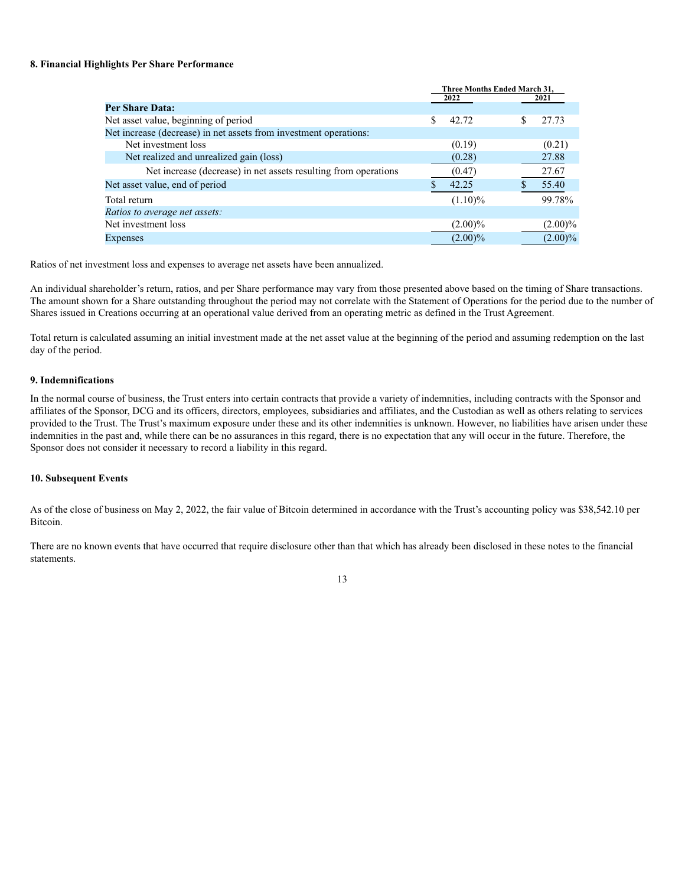#### **8. Financial Highlights Per Share Performance**

|                                                                   |    | Three Months Ended March 31.<br>2022<br>2021 |   |            |
|-------------------------------------------------------------------|----|----------------------------------------------|---|------------|
| <b>Per Share Data:</b>                                            |    |                                              |   |            |
| Net asset value, beginning of period                              | S. | 42.72                                        | S | 27.73      |
| Net increase (decrease) in net assets from investment operations: |    |                                              |   |            |
| Net investment loss                                               |    | (0.19)                                       |   | (0.21)     |
| Net realized and unrealized gain (loss)                           |    | (0.28)                                       |   | 27.88      |
| Net increase (decrease) in net assets resulting from operations   |    | (0.47)                                       |   | 27.67      |
| Net asset value, end of period                                    |    | 42.25                                        |   | 55.40      |
| Total return                                                      |    | $(1.10)\%$                                   |   | 99.78%     |
| Ratios to average net assets:                                     |    |                                              |   |            |
| Net investment loss                                               |    | $(2.00)\%$                                   |   | $(2.00)\%$ |
| <b>Expenses</b>                                                   |    | $(2.00)\%$                                   |   | $(2.00)\%$ |

Ratios of net investment loss and expenses to average net assets have been annualized.

An individual shareholder's return, ratios, and per Share performance may vary from those presented above based on the timing of Share transactions. The amount shown for a Share outstanding throughout the period may not correlate with the Statement of Operations for the period due to the number of Shares issued in Creations occurring at an operational value derived from an operating metric as defined in the Trust Agreement.

Total return is calculated assuming an initial investment made at the net asset value at the beginning of the period and assuming redemption on the last day of the period.

#### **9. Indemnifications**

In the normal course of business, the Trust enters into certain contracts that provide a variety of indemnities, including contracts with the Sponsor and affiliates of the Sponsor, DCG and its officers, directors, employees, subsidiaries and affiliates, and the Custodian as well as others relating to services provided to the Trust. The Trust's maximum exposure under these and its other indemnities is unknown. However, no liabilities have arisen under these indemnities in the past and, while there can be no assurances in this regard, there is no expectation that any will occur in the future. Therefore, the Sponsor does not consider it necessary to record a liability in this regard.

#### **10. Subsequent Events**

As of the close of business on May 2, 2022, the fair value of Bitcoin determined in accordance with the Trust's accounting policy was \$38,542.10 per Bitcoin.

There are no known events that have occurred that require disclosure other than that which has already been disclosed in these notes to the financial statements.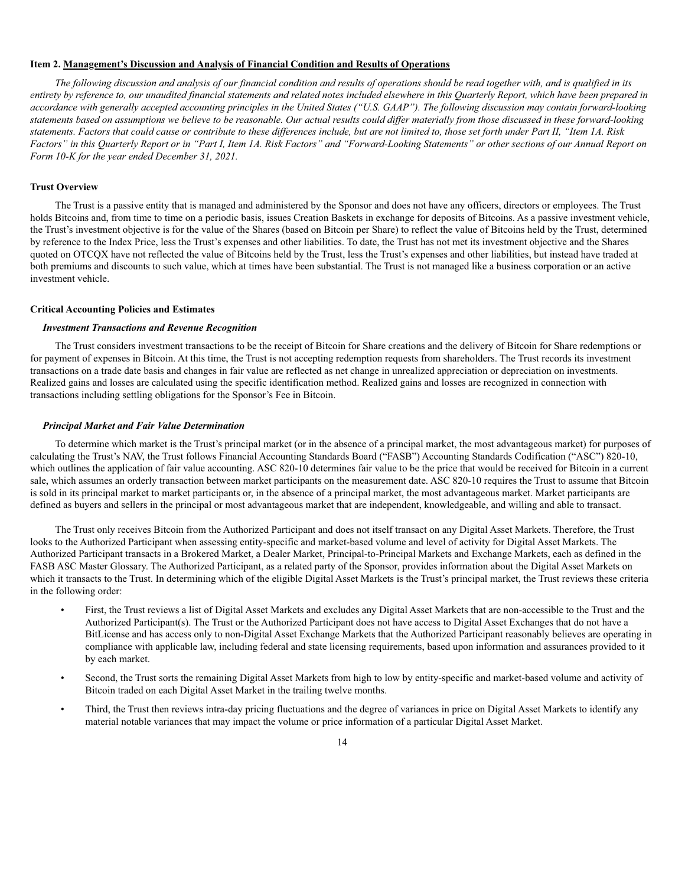#### **Item 2. Management's Discussion and Analysis of Financial Condition and Results of Operations**

*The following discussion and analysis of our financial condition and results of operations should be read together with, and is qualified in its entirety by reference to, our unaudited financial statements and related notes included elsewhere in this Quarterly Report, which have been prepared in accordance with generally accepted accounting principles in the United States ("U.S. GAAP"). The following discussion may contain forward-looking statements based on assumptions we believe to be reasonable. Our actual results could differ materially from those discussed in these forward-looking statements. Factors that could cause or contribute to these differences include, but are not limited to, those set forth under Part II, "Item 1A. Risk Factors" in this Quarterly Report or in "Part I, Item 1A. Risk Factors" and "Forward-Looking Statements" or other sections of our Annual Report on Form 10-K for the year ended December 31, 2021.*

#### **Trust Overview**

The Trust is a passive entity that is managed and administered by the Sponsor and does not have any officers, directors or employees. The Trust holds Bitcoins and, from time to time on a periodic basis, issues Creation Baskets in exchange for deposits of Bitcoins. As a passive investment vehicle, the Trust's investment objective is for the value of the Shares (based on Bitcoin per Share) to reflect the value of Bitcoins held by the Trust, determined by reference to the Index Price, less the Trust's expenses and other liabilities. To date, the Trust has not met its investment objective and the Shares quoted on OTCQX have not reflected the value of Bitcoins held by the Trust, less the Trust's expenses and other liabilities, but instead have traded at both premiums and discounts to such value, which at times have been substantial. The Trust is not managed like a business corporation or an active investment vehicle.

#### **Critical Accounting Policies and Estimates**

### *Investment Transactions and Revenue Recognition*

The Trust considers investment transactions to be the receipt of Bitcoin for Share creations and the delivery of Bitcoin for Share redemptions or for payment of expenses in Bitcoin. At this time, the Trust is not accepting redemption requests from shareholders. The Trust records its investment transactions on a trade date basis and changes in fair value are reflected as net change in unrealized appreciation or depreciation on investments. Realized gains and losses are calculated using the specific identification method. Realized gains and losses are recognized in connection with transactions including settling obligations for the Sponsor's Fee in Bitcoin.

#### *Principal Market and Fair Value Determination*

To determine which market is the Trust's principal market (or in the absence of a principal market, the most advantageous market) for purposes of calculating the Trust's NAV, the Trust follows Financial Accounting Standards Board ("FASB") Accounting Standards Codification ("ASC") 820-10, which outlines the application of fair value accounting. ASC 820-10 determines fair value to be the price that would be received for Bitcoin in a current sale, which assumes an orderly transaction between market participants on the measurement date. ASC 820-10 requires the Trust to assume that Bitcoin is sold in its principal market to market participants or, in the absence of a principal market, the most advantageous market. Market participants are defined as buyers and sellers in the principal or most advantageous market that are independent, knowledgeable, and willing and able to transact.

The Trust only receives Bitcoin from the Authorized Participant and does not itself transact on any Digital Asset Markets. Therefore, the Trust looks to the Authorized Participant when assessing entity-specific and market-based volume and level of activity for Digital Asset Markets. The Authorized Participant transacts in a Brokered Market, a Dealer Market, Principal-to-Principal Markets and Exchange Markets, each as defined in the FASB ASC Master Glossary. The Authorized Participant, as a related party of the Sponsor, provides information about the Digital Asset Markets on which it transacts to the Trust. In determining which of the eligible Digital Asset Markets is the Trust's principal market, the Trust reviews these criteria in the following order:

- First, the Trust reviews a list of Digital Asset Markets and excludes any Digital Asset Markets that are non-accessible to the Trust and the Authorized Participant(s). The Trust or the Authorized Participant does not have access to Digital Asset Exchanges that do not have a BitLicense and has access only to non-Digital Asset Exchange Markets that the Authorized Participant reasonably believes are operating in compliance with applicable law, including federal and state licensing requirements, based upon information and assurances provided to it by each market.
- Second, the Trust sorts the remaining Digital Asset Markets from high to low by entity-specific and market-based volume and activity of Bitcoin traded on each Digital Asset Market in the trailing twelve months.
- Third, the Trust then reviews intra-day pricing fluctuations and the degree of variances in price on Digital Asset Markets to identify any material notable variances that may impact the volume or price information of a particular Digital Asset Market.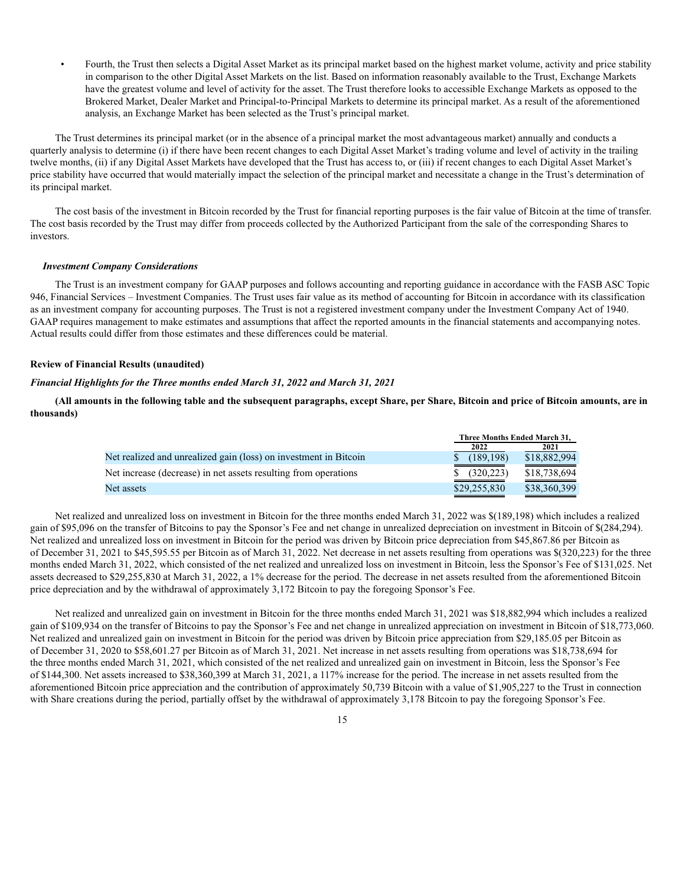• Fourth, the Trust then selects a Digital Asset Market as its principal market based on the highest market volume, activity and price stability in comparison to the other Digital Asset Markets on the list. Based on information reasonably available to the Trust, Exchange Markets have the greatest volume and level of activity for the asset. The Trust therefore looks to accessible Exchange Markets as opposed to the Brokered Market, Dealer Market and Principal-to-Principal Markets to determine its principal market. As a result of the aforementioned analysis, an Exchange Market has been selected as the Trust's principal market.

The Trust determines its principal market (or in the absence of a principal market the most advantageous market) annually and conducts a quarterly analysis to determine (i) if there have been recent changes to each Digital Asset Market's trading volume and level of activity in the trailing twelve months, (ii) if any Digital Asset Markets have developed that the Trust has access to, or (iii) if recent changes to each Digital Asset Market's price stability have occurred that would materially impact the selection of the principal market and necessitate a change in the Trust's determination of its principal market.

The cost basis of the investment in Bitcoin recorded by the Trust for financial reporting purposes is the fair value of Bitcoin at the time of transfer. The cost basis recorded by the Trust may differ from proceeds collected by the Authorized Participant from the sale of the corresponding Shares to investors.

#### *Investment Company Considerations*

The Trust is an investment company for GAAP purposes and follows accounting and reporting guidance in accordance with the FASB ASC Topic 946, Financial Services – Investment Companies. The Trust uses fair value as its method of accounting for Bitcoin in accordance with its classification as an investment company for accounting purposes. The Trust is not a registered investment company under the Investment Company Act of 1940. GAAP requires management to make estimates and assumptions that affect the reported amounts in the financial statements and accompanying notes. Actual results could differ from those estimates and these differences could be material.

#### **Review of Financial Results (unaudited)**

#### *Financial Highlights for the Three months ended March 31, 2022 and March 31, 2021*

**(All amounts in the following table and the subsequent paragraphs, except Share, per Share, Bitcoin and price of Bitcoin amounts, are in thousands)**

**Three Months Ended March 31,**

|                                                                  | Three Months Ended March 31. |              |
|------------------------------------------------------------------|------------------------------|--------------|
|                                                                  | 2022                         | 2021         |
| Net realized and unrealized gain (loss) on investment in Bitcoin | \$(189.198)                  | \$18,882,994 |
| Net increase (decrease) in net assets resulting from operations  | \$ (320, 223)                | \$18,738,694 |
| Net assets                                                       | \$29,255,830                 | \$38,360,399 |

Net realized and unrealized loss on investment in Bitcoin for the three months ended March 31, 2022 was \$(189,198) which includes a realized gain of \$95,096 on the transfer of Bitcoins to pay the Sponsor's Fee and net change in unrealized depreciation on investment in Bitcoin of \$(284,294). Net realized and unrealized loss on investment in Bitcoin for the period was driven by Bitcoin price depreciation from \$45,867.86 per Bitcoin as of December 31, 2021 to \$45,595.55 per Bitcoin as of March 31, 2022. Net decrease in net assets resulting from operations was \$(320,223) for the three months ended March 31, 2022, which consisted of the net realized and unrealized loss on investment in Bitcoin, less the Sponsor's Fee of \$131,025. Net assets decreased to \$29,255,830 at March 31, 2022, a 1% decrease for the period. The decrease in net assets resulted from the aforementioned Bitcoin price depreciation and by the withdrawal of approximately 3,172 Bitcoin to pay the foregoing Sponsor's Fee.

Net realized and unrealized gain on investment in Bitcoin for the three months ended March 31, 2021 was \$18,882,994 which includes a realized gain of \$109,934 on the transfer of Bitcoins to pay the Sponsor's Fee and net change in unrealized appreciation on investment in Bitcoin of \$18,773,060. Net realized and unrealized gain on investment in Bitcoin for the period was driven by Bitcoin price appreciation from \$29,185.05 per Bitcoin as of December 31, 2020 to \$58,601.27 per Bitcoin as of March 31, 2021. Net increase in net assets resulting from operations was \$18,738,694 for the three months ended March 31, 2021, which consisted of the net realized and unrealized gain on investment in Bitcoin, less the Sponsor's Fee of \$144,300. Net assets increased to \$38,360,399 at March 31, 2021, a 117% increase for the period. The increase in net assets resulted from the aforementioned Bitcoin price appreciation and the contribution of approximately 50,739 Bitcoin with a value of \$1,905,227 to the Trust in connection with Share creations during the period, partially offset by the withdrawal of approximately 3,178 Bitcoin to pay the foregoing Sponsor's Fee.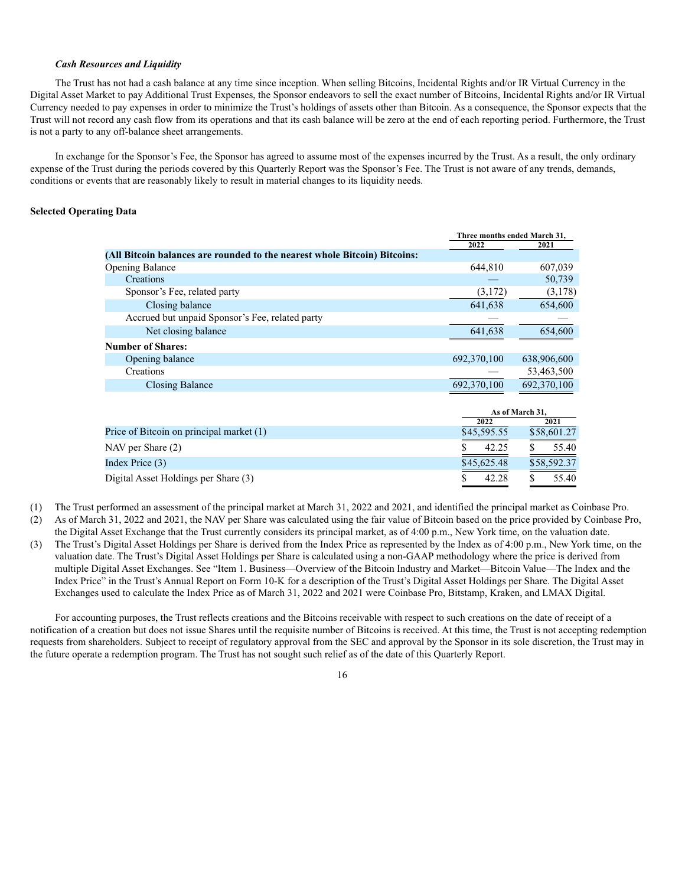#### *Cash Resources and Liquidity*

The Trust has not had a cash balance at any time since inception. When selling Bitcoins, Incidental Rights and/or IR Virtual Currency in the Digital Asset Market to pay Additional Trust Expenses, the Sponsor endeavors to sell the exact number of Bitcoins, Incidental Rights and/or IR Virtual Currency needed to pay expenses in order to minimize the Trust's holdings of assets other than Bitcoin. As a consequence, the Sponsor expects that the Trust will not record any cash flow from its operations and that its cash balance will be zero at the end of each reporting period. Furthermore, the Trust is not a party to any off-balance sheet arrangements.

In exchange for the Sponsor's Fee, the Sponsor has agreed to assume most of the expenses incurred by the Trust. As a result, the only ordinary expense of the Trust during the periods covered by this Quarterly Report was the Sponsor's Fee. The Trust is not aware of any trends, demands, conditions or events that are reasonably likely to result in material changes to its liquidity needs.

#### **Selected Operating Data**

|                                                                           | Three months ended March 31, |                 |
|---------------------------------------------------------------------------|------------------------------|-----------------|
|                                                                           | 2022                         | 2021            |
| (All Bitcoin balances are rounded to the nearest whole Bitcoin) Bitcoins: |                              |                 |
| <b>Opening Balance</b>                                                    | 644,810                      | 607,039         |
| Creations                                                                 |                              | 50,739          |
| Sponsor's Fee, related party                                              | (3,172)                      | (3,178)         |
| Closing balance                                                           | 641,638                      | 654,600         |
| Accrued but unpaid Sponsor's Fee, related party                           |                              |                 |
| Net closing balance                                                       | 641,638                      | 654,600         |
| <b>Number of Shares:</b>                                                  |                              |                 |
| Opening balance                                                           | 692,370,100                  | 638,906,600     |
| Creations                                                                 |                              | 53,463,500      |
| Closing Balance                                                           | 692,370,100                  | 692,370,100     |
|                                                                           |                              |                 |
|                                                                           |                              | As of March 31, |
|                                                                           | 2022                         | 2021            |
| Price of Bitcoin on principal market (1)                                  | \$45,595.55                  | \$58,601.27     |
| NAV per Share (2)                                                         | 42.25                        | 55.40<br>S      |
| Index Price (3)                                                           | \$45,625.48                  | \$58,592.37     |
| Digital Asset Holdings per Share (3)                                      | \$<br>42.28                  | 55.40<br>\$     |

- (1) The Trust performed an assessment of the principal market at March 31, 2022 and 2021, and identified the principal market as Coinbase Pro. (2) As of March 31, 2022 and 2021, the NAV per Share was calculated using the fair value of Bitcoin based on the price provided by Coinbase Pro,
- the Digital Asset Exchange that the Trust currently considers its principal market, as of 4:00 p.m., New York time, on the valuation date. (3) The Trust's Digital Asset Holdings per Share is derived from the Index Price as represented by the Index as of 4:00 p.m., New York time, on the valuation date. The Trust's Digital Asset Holdings per Share is calculated using a non-GAAP methodology where the price is derived from multiple Digital Asset Exchanges. See "Item 1. Business—Overview of the Bitcoin Industry and Market—Bitcoin Value—The Index and the Index Price" in the Trust's Annual Report on Form 10-K for a description of the Trust's Digital Asset Holdings per Share. The Digital Asset Exchanges used to calculate the Index Price as of March 31, 2022 and 2021 were Coinbase Pro, Bitstamp, Kraken, and LMAX Digital.

For accounting purposes, the Trust reflects creations and the Bitcoins receivable with respect to such creations on the date of receipt of a notification of a creation but does not issue Shares until the requisite number of Bitcoins is received. At this time, the Trust is not accepting redemption requests from shareholders. Subject to receipt of regulatory approval from the SEC and approval by the Sponsor in its sole discretion, the Trust may in the future operate a redemption program. The Trust has not sought such relief as of the date of this Quarterly Report.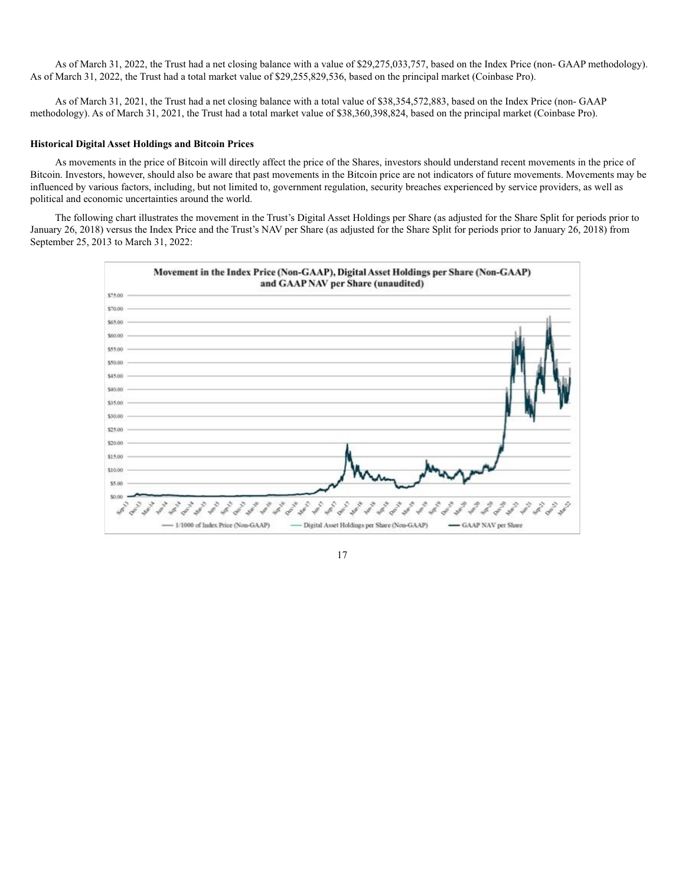As of March 31, 2022, the Trust had a net closing balance with a value of \$29,275,033,757, based on the Index Price (non- GAAP methodology). As of March 31, 2022, the Trust had a total market value of \$29,255,829,536, based on the principal market (Coinbase Pro).

As of March 31, 2021, the Trust had a net closing balance with a total value of \$38,354,572,883, based on the Index Price (non- GAAP methodology). As of March 31, 2021, the Trust had a total market value of \$38,360,398,824, based on the principal market (Coinbase Pro).

#### **Historical Digital Asset Holdings and Bitcoin Prices**

As movements in the price of Bitcoin will directly affect the price of the Shares, investors should understand recent movements in the price of Bitcoin. Investors, however, should also be aware that past movements in the Bitcoin price are not indicators of future movements. Movements may be influenced by various factors, including, but not limited to, government regulation, security breaches experienced by service providers, as well as political and economic uncertainties around the world.

The following chart illustrates the movement in the Trust's Digital Asset Holdings per Share (as adjusted for the Share Split for periods prior to January 26, 2018) versus the Index Price and the Trust's NAV per Share (as adjusted for the Share Split for periods prior to January 26, 2018) from September 25, 2013 to March 31, 2022:

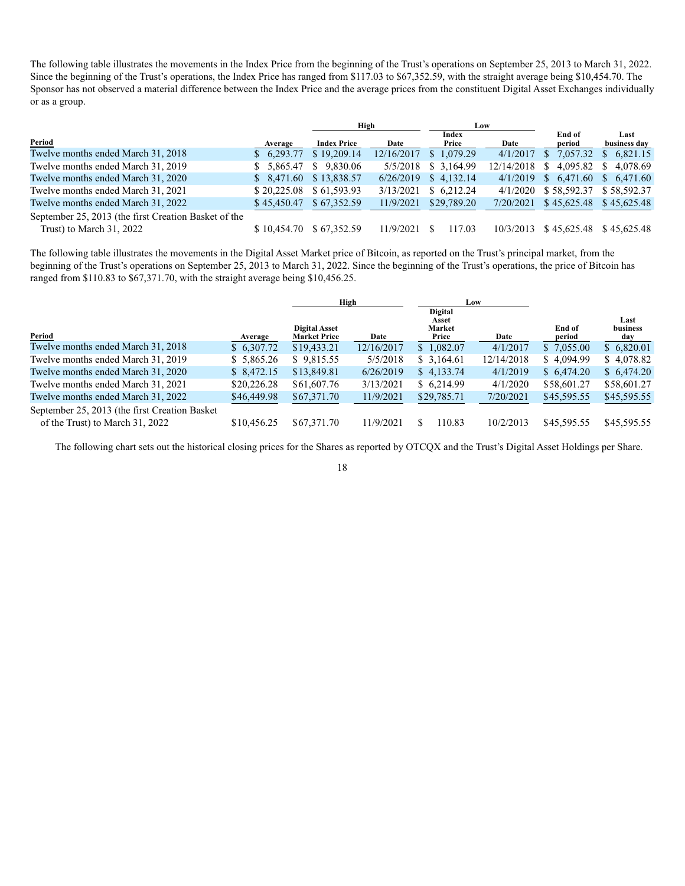The following table illustrates the movements in the Index Price from the beginning of the Trust's operations on September 25, 2013 to March 31, 2022. Since the beginning of the Trust's operations, the Index Price has ranged from \$117.03 to \$67,352.59, with the straight average being \$10,454.70. The Sponsor has not observed a material difference between the Index Price and the average prices from the constituent Digital Asset Exchanges individually or as a group.

|                                                                                  |             |                          | High<br>Low |                |          |                                    |                      |
|----------------------------------------------------------------------------------|-------------|--------------------------|-------------|----------------|----------|------------------------------------|----------------------|
| Period                                                                           | Average     | <b>Index Price</b>       | Date        | Index<br>Price | Date     | End of<br>period                   | Last<br>business day |
| Twelve months ended March 31, 2018                                               |             | $$6,293.77$ $$19,209.14$ | 12/16/2017  | \$1.079.29     | 4/1/2017 | \$7,057.32                         | \$6,821.15           |
| Twelve months ended March 31, 2019                                               |             | $$5,865.47$ $$9,830.06$  | 5/5/2018    | \$3,164.99     |          | 12/14/2018 \$4,095.82 \$4,078.69   |                      |
| Twelve months ended March 31, 2020                                               |             | $$8,471.60$ $$13,838.57$ | 6/26/2019   | \$4,132.14     |          | $4/1/2019$ \$ 6,471.60 \$ 6,471.60 |                      |
| Twelve months ended March 31, 2021                                               | \$20.225.08 | \$61,593.93              | 3/13/2021   | \$6,212.24     |          | 4/1/2020 \$58,592.37 \$58,592.37   |                      |
| Twelve months ended March 31, 2022                                               | \$45,450.47 | \$67,352.59              | 11/9/2021   | \$29,789.20    |          | 7/20/2021 \$45,625.48 \$45,625.48  |                      |
| September 25, 2013 (the first Creation Basket of the<br>Trust) to March 31, 2022 | \$10.454.70 | \$67,352.59              | 11/9/2021   | 117.03         |          | 10/3/2013 \$45,625.48 \$45,625.48  |                      |

The following table illustrates the movements in the Digital Asset Market price of Bitcoin, as reported on the Trust's principal market, from the beginning of the Trust's operations on September 25, 2013 to March 31, 2022. Since the beginning of the Trust's operations, the price of Bitcoin has ranged from \$110.83 to \$67,371.70, with the straight average being \$10,456.25.

|                                                                                   |             | High                                        |            | Low                                        |            |                  |                         |
|-----------------------------------------------------------------------------------|-------------|---------------------------------------------|------------|--------------------------------------------|------------|------------------|-------------------------|
| Period                                                                            | Average     | <b>Digital Asset</b><br><b>Market Price</b> | Date       | <b>Digital</b><br>Asset<br>Market<br>Price | Date       | End of<br>period | Last<br>business<br>day |
| Twelve months ended March 31, 2018                                                | \$6,307.72  | \$19,433.21                                 | 12/16/2017 | \$1,082.07                                 | 4/1/2017   | \$7,055.00       | \$6,820.01              |
| Twelve months ended March 31, 2019                                                | \$5,865.26  | \$9,815.55                                  | 5/5/2018   | \$3.164.61                                 | 12/14/2018 | \$4,094.99       | \$4,078.82              |
| Twelve months ended March 31, 2020                                                | \$8,472.15  | \$13,849.81                                 | 6/26/2019  | \$4,133.74                                 | 4/1/2019   | \$6,474.20       | \$6,474.20              |
| Twelve months ended March 31, 2021                                                | \$20,226.28 | \$61,607.76                                 | 3/13/2021  | \$6.214.99                                 | 4/1/2020   | \$58,601.27      | \$58,601.27             |
| Twelve months ended March 31, 2022                                                | \$46,449.98 | \$67,371.70                                 | 11/9/2021  | \$29,785.71                                | 7/20/2021  | \$45,595.55      | \$45,595.55             |
| September 25, 2013 (the first Creation Basket)<br>of the Trust) to March 31, 2022 | \$10,456.25 | \$67,371.70                                 | 11/9/2021  | 110.83                                     | 10/2/2013  | \$45,595.55      | \$45,595.55             |

The following chart sets out the historical closing prices for the Shares as reported by OTCQX and the Trust's Digital Asset Holdings per Share.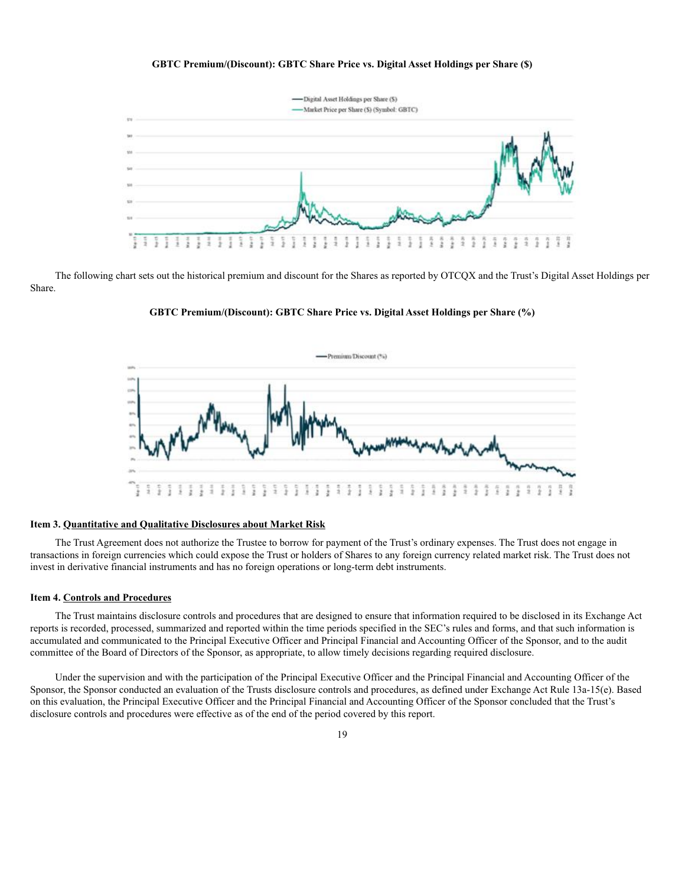#### **GBTC Premium/(Discount): GBTC Share Price vs. Digital Asset Holdings per Share (\$)**



The following chart sets out the historical premium and discount for the Shares as reported by OTCQX and the Trust's Digital Asset Holdings per Share.





#### **Item 3. Quantitative and Qualitative Disclosures about Market Risk**

The Trust Agreement does not authorize the Trustee to borrow for payment of the Trust's ordinary expenses. The Trust does not engage in transactions in foreign currencies which could expose the Trust or holders of Shares to any foreign currency related market risk. The Trust does not invest in derivative financial instruments and has no foreign operations or long-term debt instruments.

#### **Item 4. Controls and Procedures**

The Trust maintains disclosure controls and procedures that are designed to ensure that information required to be disclosed in its Exchange Act reports is recorded, processed, summarized and reported within the time periods specified in the SEC's rules and forms, and that such information is accumulated and communicated to the Principal Executive Officer and Principal Financial and Accounting Officer of the Sponsor, and to the audit committee of the Board of Directors of the Sponsor, as appropriate, to allow timely decisions regarding required disclosure.

Under the supervision and with the participation of the Principal Executive Officer and the Principal Financial and Accounting Officer of the Sponsor, the Sponsor conducted an evaluation of the Trusts disclosure controls and procedures, as defined under Exchange Act Rule 13a-15(e). Based on this evaluation, the Principal Executive Officer and the Principal Financial and Accounting Officer of the Sponsor concluded that the Trust's disclosure controls and procedures were effective as of the end of the period covered by this report.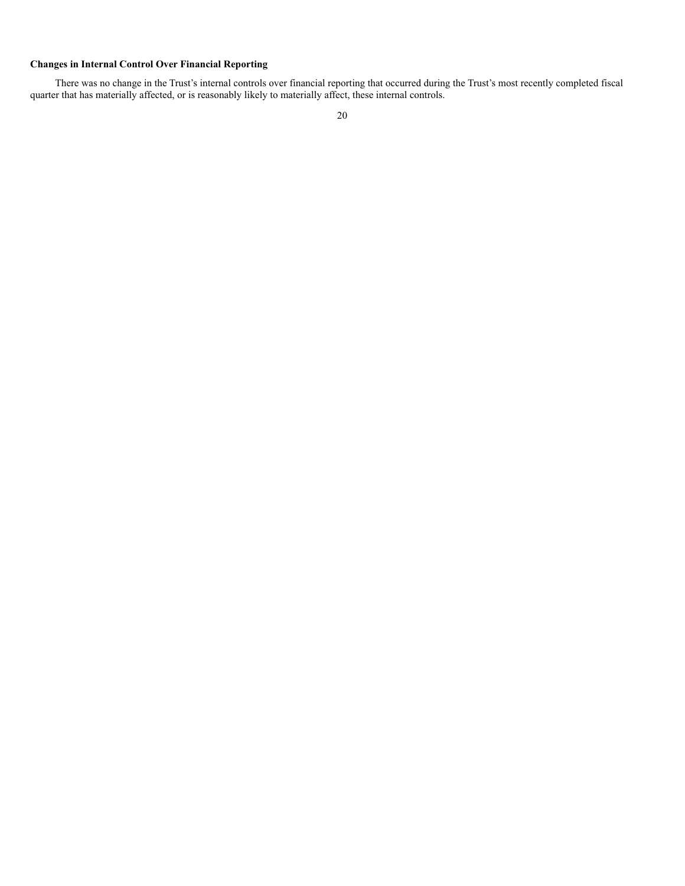# **Changes in Internal Control Over Financial Reporting**

There was no change in the Trust's internal controls over financial reporting that occurred during the Trust's most recently completed fiscal quarter that has materially affected, or is reasonably likely to materially affect, these internal controls.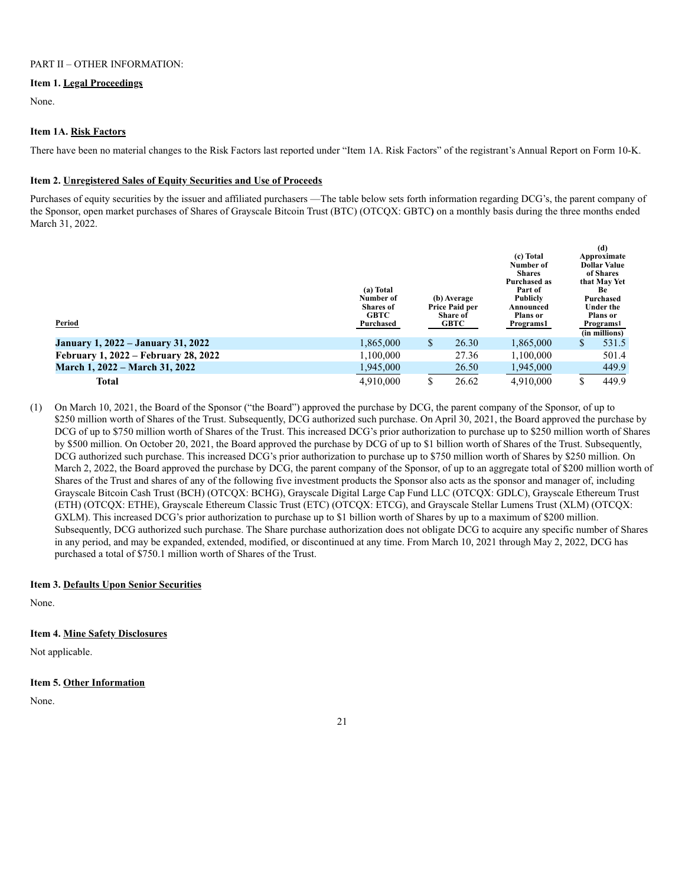#### PART II – OTHER INFORMATION:

#### **Item 1. Legal Proceedings**

None.

#### **Item 1A. Risk Factors**

There have been no material changes to the Risk Factors last reported under "Item 1A. Risk Factors" of the registrant's Annual Report on Form 10-K.

#### **Item 2. Unregistered Sales of Equity Securities and Use of Proceeds**

Purchases of equity securities by the issuer and affiliated purchasers —The table below sets forth information regarding DCG's, the parent company of the Sponsor, open market purchases of Shares of Grayscale Bitcoin Trust (BTC) (OTCQX: GBTC**)** on a monthly basis during the three months ended March 31, 2022.

| Period                                    | (a) Total<br>Number of<br><b>Shares</b> of<br><b>GBTC</b><br>Purchased | (b) Average<br>Price Paid per<br><b>Share of</b><br><b>GBTC</b> |       | (c) Total<br>Number of<br><b>Shares</b><br><b>Purchased as</b><br>Part of<br><b>Publicly</b><br>Announced<br><b>Plans</b> or<br>Programs1 | (in millions) | (d)<br>Approximate<br><b>Dollar Value</b><br>of Shares<br>that May Yet<br>Be<br>Purchased<br><b>Under the</b><br><b>Plans</b> or<br>Programs <sup>1</sup> |  |
|-------------------------------------------|------------------------------------------------------------------------|-----------------------------------------------------------------|-------|-------------------------------------------------------------------------------------------------------------------------------------------|---------------|-----------------------------------------------------------------------------------------------------------------------------------------------------------|--|
| <b>January 1, 2022 – January 31, 2022</b> | 1,865,000                                                              | \$                                                              | 26.30 | 1,865,000                                                                                                                                 | \$            | 531.5                                                                                                                                                     |  |
| February 1, 2022 – February 28, 2022      | 1,100,000                                                              |                                                                 | 27.36 | 1.100.000                                                                                                                                 |               | 501.4                                                                                                                                                     |  |
| March 1, 2022 – March 31, 2022            | 1,945,000                                                              |                                                                 | 26.50 | 1,945,000                                                                                                                                 |               | 449.9                                                                                                                                                     |  |
| <b>Total</b>                              | 4,910,000                                                              |                                                                 | 26.62 | 4.910.000                                                                                                                                 | S             | 449.9                                                                                                                                                     |  |

(1) On March 10, 2021, the Board of the Sponsor ("the Board") approved the purchase by DCG, the parent company of the Sponsor, of up to \$250 million worth of Shares of the Trust. Subsequently, DCG authorized such purchase. On April 30, 2021, the Board approved the purchase by DCG of up to \$750 million worth of Shares of the Trust. This increased DCG's prior authorization to purchase up to \$250 million worth of Shares by \$500 million. On October 20, 2021, the Board approved the purchase by DCG of up to \$1 billion worth of Shares of the Trust. Subsequently, DCG authorized such purchase. This increased DCG's prior authorization to purchase up to \$750 million worth of Shares by \$250 million. On March 2, 2022, the Board approved the purchase by DCG, the parent company of the Sponsor, of up to an aggregate total of \$200 million worth of Shares of the Trust and shares of any of the following five investment products the Sponsor also acts as the sponsor and manager of, including Grayscale Bitcoin Cash Trust (BCH) (OTCQX: BCHG), Grayscale Digital Large Cap Fund LLC (OTCQX: GDLC), Grayscale Ethereum Trust (ETH) (OTCQX: ETHE), Grayscale Ethereum Classic Trust (ETC) (OTCQX: ETCG), and Grayscale Stellar Lumens Trust (XLM) (OTCQX: GXLM). This increased DCG's prior authorization to purchase up to \$1 billion worth of Shares by up to a maximum of \$200 million. Subsequently, DCG authorized such purchase. The Share purchase authorization does not obligate DCG to acquire any specific number of Shares in any period, and may be expanded, extended, modified, or discontinued at any time. From March 10, 2021 through May 2, 2022, DCG has purchased a total of \$750.1 million worth of Shares of the Trust.

# **Item 3. Defaults Upon Senior Securities**

None.

# **Item 4. Mine Safety Disclosures**

Not applicable.

#### **Item 5. Other Information**

None.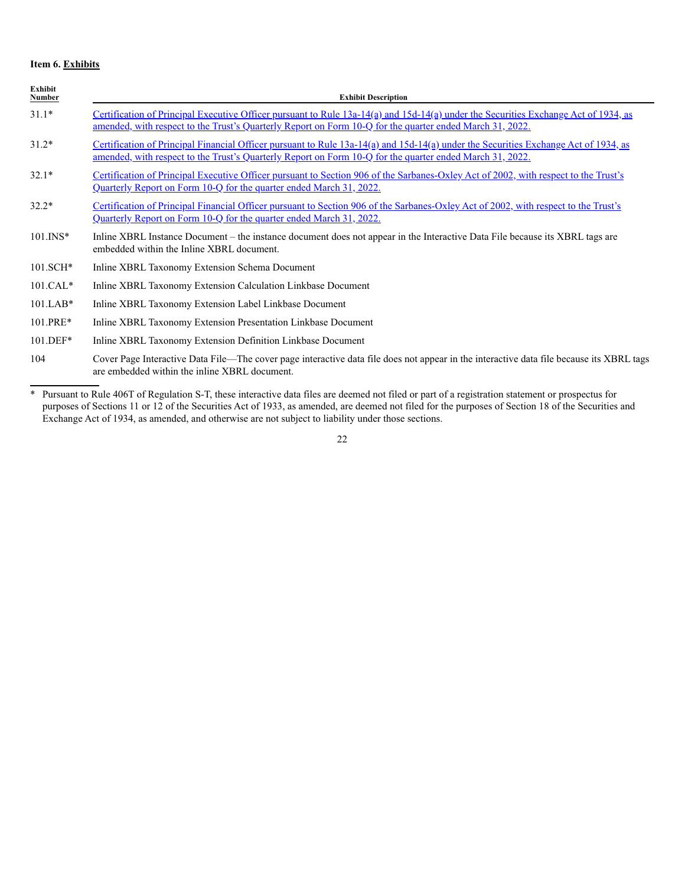# **Item 6. Exhibits**

| <b>Exhibit</b><br>Number | <b>Exhibit Description</b>                                                                                                                                                                                                                             |
|--------------------------|--------------------------------------------------------------------------------------------------------------------------------------------------------------------------------------------------------------------------------------------------------|
| $31.1*$                  | <u>Certification of Principal Executive Officer pursuant to Rule 13a-14(a) and 15d-14(a) under the Securities Exchange Act of 1934, as</u><br>amended, with respect to the Trust's Quarterly Report on Form 10-Q for the quarter ended March 31, 2022. |
| $31.2*$                  | Certification of Principal Financial Officer pursuant to Rule 13a-14(a) and 15d-14(a) under the Securities Exchange Act of 1934, as<br>amended, with respect to the Trust's Quarterly Report on Form 10-Q for the quarter ended March 31, 2022.        |
| $32.1*$                  | Certification of Principal Executive Officer pursuant to Section 906 of the Sarbanes-Oxley Act of 2002, with respect to the Trust's<br><u>Quarterly Report on Form 10-Q for the quarter ended March 31, 2022.</u>                                      |
| $32.2*$                  | Certification of Principal Financial Officer pursuant to Section 906 of the Sarbanes-Oxley Act of 2002, with respect to the Trust's<br>Quarterly Report on Form 10-Q for the quarter ended March 31, 2022.                                             |
| $101$ . INS*             | Inline XBRL Instance Document – the instance document does not appear in the Interactive Data File because its XBRL tags are<br>embedded within the Inline XBRL document.                                                                              |
| $101.SCH*$               | Inline XBRL Taxonomy Extension Schema Document                                                                                                                                                                                                         |
| $101.CAL*$               | Inline XBRL Taxonomy Extension Calculation Linkbase Document                                                                                                                                                                                           |
| $101.LAB*$               | Inline XBRL Taxonomy Extension Label Linkbase Document                                                                                                                                                                                                 |
| 101.PRE*                 | Inline XBRL Taxonomy Extension Presentation Linkbase Document                                                                                                                                                                                          |
| 101.DEF*                 | Inline XBRL Taxonomy Extension Definition Linkbase Document                                                                                                                                                                                            |
| 104                      | Cover Page Interactive Data File—The cover page interactive data file does not appear in the interactive data file because its XBRL tags<br>are embedded within the inline XBRL document.                                                              |

\* Pursuant to Rule 406T of Regulation S-T, these interactive data files are deemed not filed or part of a registration statement or prospectus for purposes of Sections 11 or 12 of the Securities Act of 1933, as amended, are deemed not filed for the purposes of Section 18 of the Securities and Exchange Act of 1934, as amended, and otherwise are not subject to liability under those sections.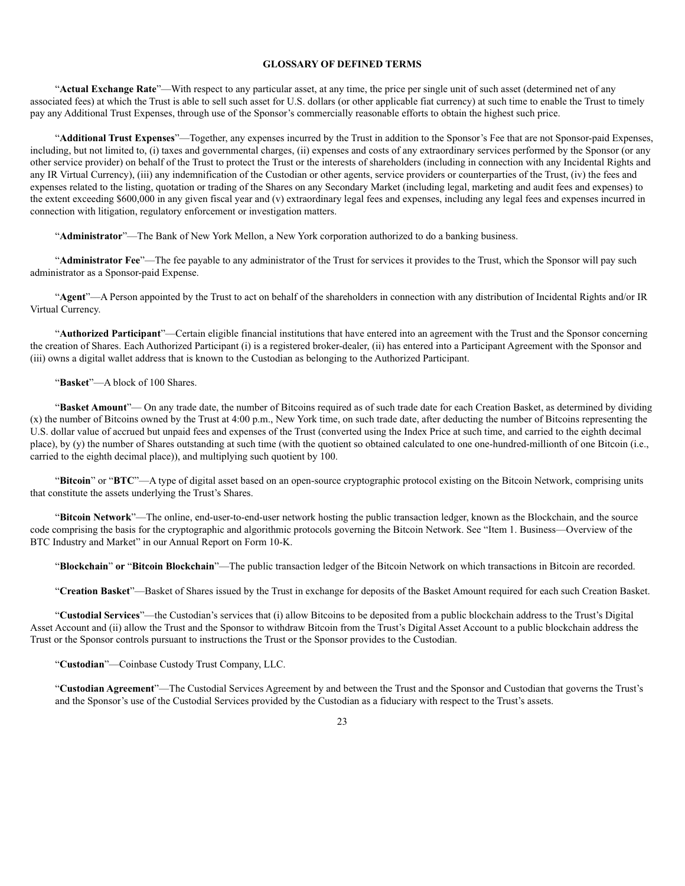#### **GLOSSARY OF DEFINED TERMS**

"**Actual Exchange Rate**"—With respect to any particular asset, at any time, the price per single unit of such asset (determined net of any associated fees) at which the Trust is able to sell such asset for U.S. dollars (or other applicable fiat currency) at such time to enable the Trust to timely pay any Additional Trust Expenses, through use of the Sponsor's commercially reasonable efforts to obtain the highest such price.

"**Additional Trust Expenses**"—Together, any expenses incurred by the Trust in addition to the Sponsor's Fee that are not Sponsor-paid Expenses, including, but not limited to, (i) taxes and governmental charges, (ii) expenses and costs of any extraordinary services performed by the Sponsor (or any other service provider) on behalf of the Trust to protect the Trust or the interests of shareholders (including in connection with any Incidental Rights and any IR Virtual Currency), (iii) any indemnification of the Custodian or other agents, service providers or counterparties of the Trust, (iv) the fees and expenses related to the listing, quotation or trading of the Shares on any Secondary Market (including legal, marketing and audit fees and expenses) to the extent exceeding \$600,000 in any given fiscal year and (v) extraordinary legal fees and expenses, including any legal fees and expenses incurred in connection with litigation, regulatory enforcement or investigation matters.

"**Administrator**"—The Bank of New York Mellon, a New York corporation authorized to do a banking business.

"**Administrator Fee**"—The fee payable to any administrator of the Trust for services it provides to the Trust, which the Sponsor will pay such administrator as a Sponsor-paid Expense.

"**Agent**"—A Person appointed by the Trust to act on behalf of the shareholders in connection with any distribution of Incidental Rights and/or IR Virtual Currency.

"**Authorized Participant**"—Certain eligible financial institutions that have entered into an agreement with the Trust and the Sponsor concerning the creation of Shares. Each Authorized Participant (i) is a registered broker-dealer, (ii) has entered into a Participant Agreement with the Sponsor and (iii) owns a digital wallet address that is known to the Custodian as belonging to the Authorized Participant.

"**Basket**"—A block of 100 Shares.

"**Basket Amount**"— On any trade date, the number of Bitcoins required as of such trade date for each Creation Basket, as determined by dividing (x) the number of Bitcoins owned by the Trust at 4:00 p.m., New York time, on such trade date, after deducting the number of Bitcoins representing the U.S. dollar value of accrued but unpaid fees and expenses of the Trust (converted using the Index Price at such time, and carried to the eighth decimal place), by (y) the number of Shares outstanding at such time (with the quotient so obtained calculated to one one-hundred-millionth of one Bitcoin (i.e., carried to the eighth decimal place)), and multiplying such quotient by 100.

"**Bitcoin**" or "**BTC**"—A type of digital asset based on an open-source cryptographic protocol existing on the Bitcoin Network, comprising units that constitute the assets underlying the Trust's Shares.

"**Bitcoin Network**"—The online, end-user-to-end-user network hosting the public transaction ledger, known as the Blockchain, and the source code comprising the basis for the cryptographic and algorithmic protocols governing the Bitcoin Network. See "Item 1. Business—Overview of the BTC Industry and Market" in our Annual Report on Form 10-K.

"**Blockchain**" **or** "**Bitcoin Blockchain**"—The public transaction ledger of the Bitcoin Network on which transactions in Bitcoin are recorded.

"**Creation Basket**"—Basket of Shares issued by the Trust in exchange for deposits of the Basket Amount required for each such Creation Basket.

"**Custodial Services**"—the Custodian's services that (i) allow Bitcoins to be deposited from a public blockchain address to the Trust's Digital Asset Account and (ii) allow the Trust and the Sponsor to withdraw Bitcoin from the Trust's Digital Asset Account to a public blockchain address the Trust or the Sponsor controls pursuant to instructions the Trust or the Sponsor provides to the Custodian.

"**Custodian**"—Coinbase Custody Trust Company, LLC.

"**Custodian Agreement**"—The Custodial Services Agreement by and between the Trust and the Sponsor and Custodian that governs the Trust's and the Sponsor's use of the Custodial Services provided by the Custodian as a fiduciary with respect to the Trust's assets.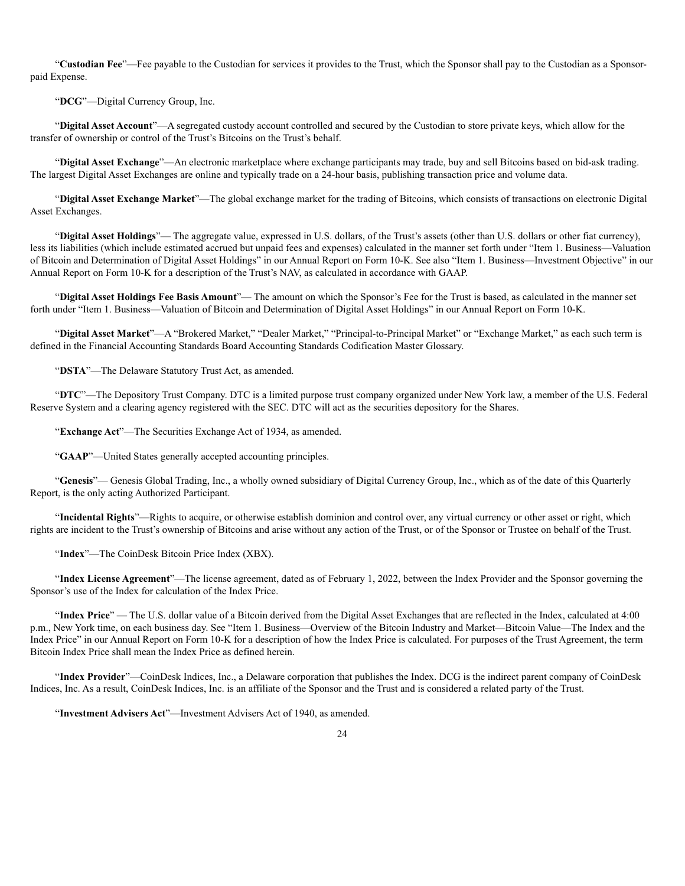"**Custodian Fee**"—Fee payable to the Custodian for services it provides to the Trust, which the Sponsor shall pay to the Custodian as a Sponsorpaid Expense.

"**DCG**"—Digital Currency Group, Inc.

"**Digital Asset Account**"—A segregated custody account controlled and secured by the Custodian to store private keys, which allow for the transfer of ownership or control of the Trust's Bitcoins on the Trust's behalf.

"**Digital Asset Exchange**"—An electronic marketplace where exchange participants may trade, buy and sell Bitcoins based on bid-ask trading. The largest Digital Asset Exchanges are online and typically trade on a 24-hour basis, publishing transaction price and volume data.

"**Digital Asset Exchange Market**"—The global exchange market for the trading of Bitcoins, which consists of transactions on electronic Digital Asset Exchanges.

"**Digital Asset Holdings**"— The aggregate value, expressed in U.S. dollars, of the Trust's assets (other than U.S. dollars or other fiat currency), less its liabilities (which include estimated accrued but unpaid fees and expenses) calculated in the manner set forth under "Item 1. Business—Valuation of Bitcoin and Determination of Digital Asset Holdings" in our Annual Report on Form 10-K. See also "Item 1. Business—Investment Objective" in our Annual Report on Form 10-K for a description of the Trust's NAV, as calculated in accordance with GAAP.

"**Digital Asset Holdings Fee Basis Amount**"— The amount on which the Sponsor's Fee for the Trust is based, as calculated in the manner set forth under "Item 1. Business—Valuation of Bitcoin and Determination of Digital Asset Holdings" in our Annual Report on Form 10-K.

"**Digital Asset Market**"—A "Brokered Market," "Dealer Market," "Principal-to-Principal Market" or "Exchange Market," as each such term is defined in the Financial Accounting Standards Board Accounting Standards Codification Master Glossary.

"**DSTA**"—The Delaware Statutory Trust Act, as amended.

"**DTC**"—The Depository Trust Company. DTC is a limited purpose trust company organized under New York law, a member of the U.S. Federal Reserve System and a clearing agency registered with the SEC. DTC will act as the securities depository for the Shares.

"**Exchange Act**"—The Securities Exchange Act of 1934, as amended.

"**GAAP**"—United States generally accepted accounting principles.

"**Genesis**"— Genesis Global Trading, Inc., a wholly owned subsidiary of Digital Currency Group, Inc., which as of the date of this Quarterly Report, is the only acting Authorized Participant.

"**Incidental Rights**"—Rights to acquire, or otherwise establish dominion and control over, any virtual currency or other asset or right, which rights are incident to the Trust's ownership of Bitcoins and arise without any action of the Trust, or of the Sponsor or Trustee on behalf of the Trust.

"**Index**"—The CoinDesk Bitcoin Price Index (XBX).

"**Index License Agreement**"—The license agreement, dated as of February 1, 2022, between the Index Provider and the Sponsor governing the Sponsor's use of the Index for calculation of the Index Price.

"**Index Price**" — The U.S. dollar value of a Bitcoin derived from the Digital Asset Exchanges that are reflected in the Index, calculated at 4:00 p.m., New York time, on each business day. See "Item 1. Business—Overview of the Bitcoin Industry and Market—Bitcoin Value—The Index and the Index Price" in our Annual Report on Form 10-K for a description of how the Index Price is calculated. For purposes of the Trust Agreement, the term Bitcoin Index Price shall mean the Index Price as defined herein.

"**Index Provider**"—CoinDesk Indices, Inc., a Delaware corporation that publishes the Index. DCG is the indirect parent company of CoinDesk Indices, Inc. As a result, CoinDesk Indices, Inc. is an affiliate of the Sponsor and the Trust and is considered a related party of the Trust.

"**Investment Advisers Act**"—Investment Advisers Act of 1940, as amended.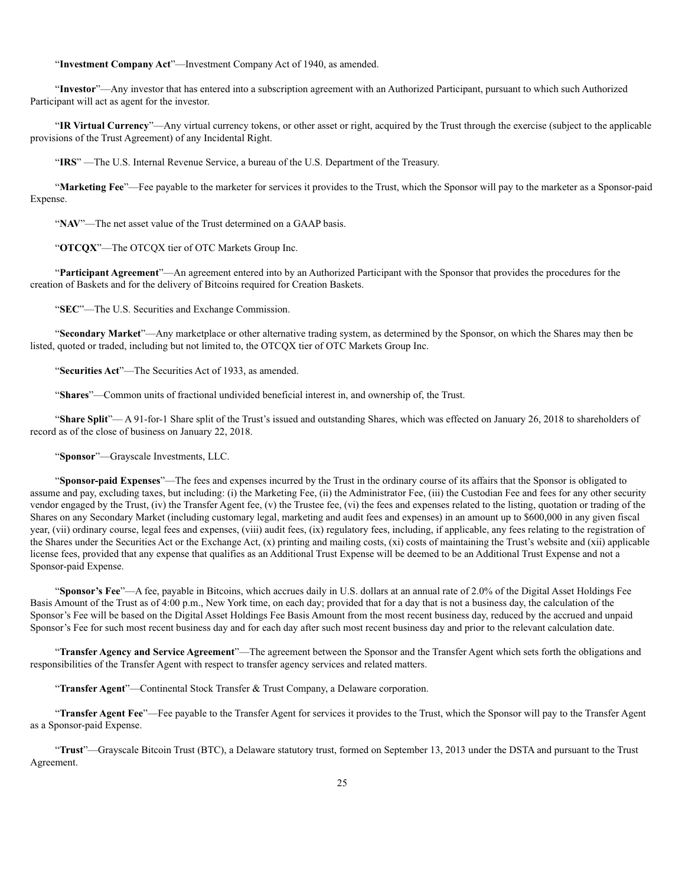"**Investment Company Act**"—Investment Company Act of 1940, as amended.

"**Investor**"—Any investor that has entered into a subscription agreement with an Authorized Participant, pursuant to which such Authorized Participant will act as agent for the investor.

"**IR Virtual Currency**"—Any virtual currency tokens, or other asset or right, acquired by the Trust through the exercise (subject to the applicable provisions of the Trust Agreement) of any Incidental Right.

"**IRS**" —The U.S. Internal Revenue Service, a bureau of the U.S. Department of the Treasury.

"**Marketing Fee**"—Fee payable to the marketer for services it provides to the Trust, which the Sponsor will pay to the marketer as a Sponsor-paid Expense.

"**NAV**"—The net asset value of the Trust determined on a GAAP basis.

"**OTCQX**"—The OTCQX tier of OTC Markets Group Inc.

"**Participant Agreement**"—An agreement entered into by an Authorized Participant with the Sponsor that provides the procedures for the creation of Baskets and for the delivery of Bitcoins required for Creation Baskets.

"**SEC**"—The U.S. Securities and Exchange Commission.

"**Secondary Market**"—Any marketplace or other alternative trading system, as determined by the Sponsor, on which the Shares may then be listed, quoted or traded, including but not limited to, the OTCQX tier of OTC Markets Group Inc.

"**Securities Act**"—The Securities Act of 1933, as amended.

"**Shares**"—Common units of fractional undivided beneficial interest in, and ownership of, the Trust.

"**Share Split**"— A 91-for-1 Share split of the Trust's issued and outstanding Shares, which was effected on January 26, 2018 to shareholders of record as of the close of business on January 22, 2018.

"**Sponsor**"—Grayscale Investments, LLC.

"**Sponsor-paid Expenses**"—The fees and expenses incurred by the Trust in the ordinary course of its affairs that the Sponsor is obligated to assume and pay, excluding taxes, but including: (i) the Marketing Fee, (ii) the Administrator Fee, (iii) the Custodian Fee and fees for any other security vendor engaged by the Trust, (iv) the Transfer Agent fee, (v) the Trustee fee, (vi) the fees and expenses related to the listing, quotation or trading of the Shares on any Secondary Market (including customary legal, marketing and audit fees and expenses) in an amount up to \$600,000 in any given fiscal year, (vii) ordinary course, legal fees and expenses, (viii) audit fees, (ix) regulatory fees, including, if applicable, any fees relating to the registration of the Shares under the Securities Act or the Exchange Act, (x) printing and mailing costs, (xi) costs of maintaining the Trust's website and (xii) applicable license fees, provided that any expense that qualifies as an Additional Trust Expense will be deemed to be an Additional Trust Expense and not a Sponsor-paid Expense.

"**Sponsor's Fee**"—A fee, payable in Bitcoins, which accrues daily in U.S. dollars at an annual rate of 2.0% of the Digital Asset Holdings Fee Basis Amount of the Trust as of 4:00 p.m., New York time, on each day; provided that for a day that is not a business day, the calculation of the Sponsor's Fee will be based on the Digital Asset Holdings Fee Basis Amount from the most recent business day, reduced by the accrued and unpaid Sponsor's Fee for such most recent business day and for each day after such most recent business day and prior to the relevant calculation date.

"**Transfer Agency and Service Agreement**"—The agreement between the Sponsor and the Transfer Agent which sets forth the obligations and responsibilities of the Transfer Agent with respect to transfer agency services and related matters.

"**Transfer Agent**"—Continental Stock Transfer & Trust Company, a Delaware corporation.

"**Transfer Agent Fee**"—Fee payable to the Transfer Agent for services it provides to the Trust, which the Sponsor will pay to the Transfer Agent as a Sponsor-paid Expense.

"**Trust**"—Grayscale Bitcoin Trust (BTC), a Delaware statutory trust, formed on September 13, 2013 under the DSTA and pursuant to the Trust Agreement.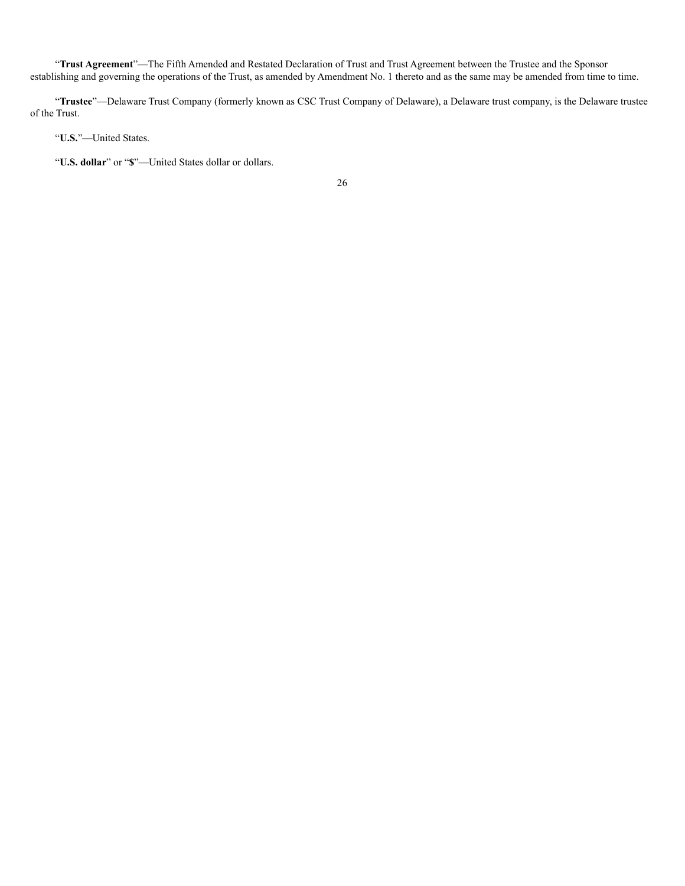"**Trust Agreement**"—The Fifth Amended and Restated Declaration of Trust and Trust Agreement between the Trustee and the Sponsor establishing and governing the operations of the Trust, as amended by Amendment No. 1 thereto and as the same may be amended from time to time.

"**Trustee**"—Delaware Trust Company (formerly known as CSC Trust Company of Delaware), a Delaware trust company, is the Delaware trustee of the Trust.

"**U.S.**"—United States.

"**U.S. dollar**" or "**\$**"—United States dollar or dollars.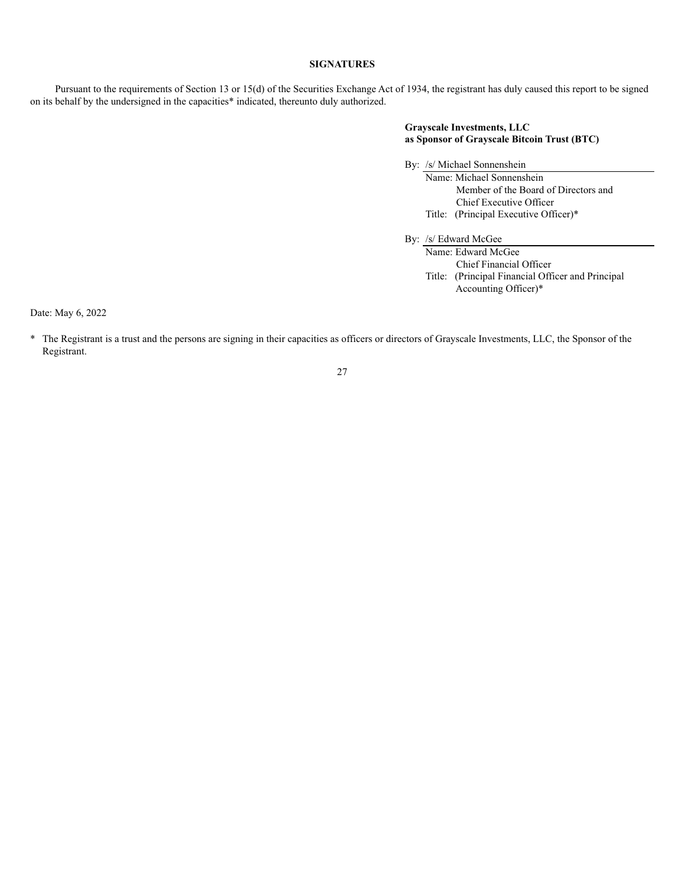#### **SIGNATURES**

Pursuant to the requirements of Section 13 or 15(d) of the Securities Exchange Act of 1934, the registrant has duly caused this report to be signed on its behalf by the undersigned in the capacities\* indicated, thereunto duly authorized.

> **Grayscale Investments, LLC as Sponsor of Grayscale Bitcoin Trust (BTC)**

By: /s/ Michael Sonnenshein

 Name: Michael Sonnenshein Member of the Board of Directors and Chief Executive Officer Title: (Principal Executive Officer)\*

By: /s/ Edward McGee

 Name: Edward McGee Chief Financial Officer Title: (Principal Financial Officer and Principal Accounting Officer)\*

Date: May 6, 2022

\* The Registrant is a trust and the persons are signing in their capacities as officers or directors of Grayscale Investments, LLC, the Sponsor of the Registrant.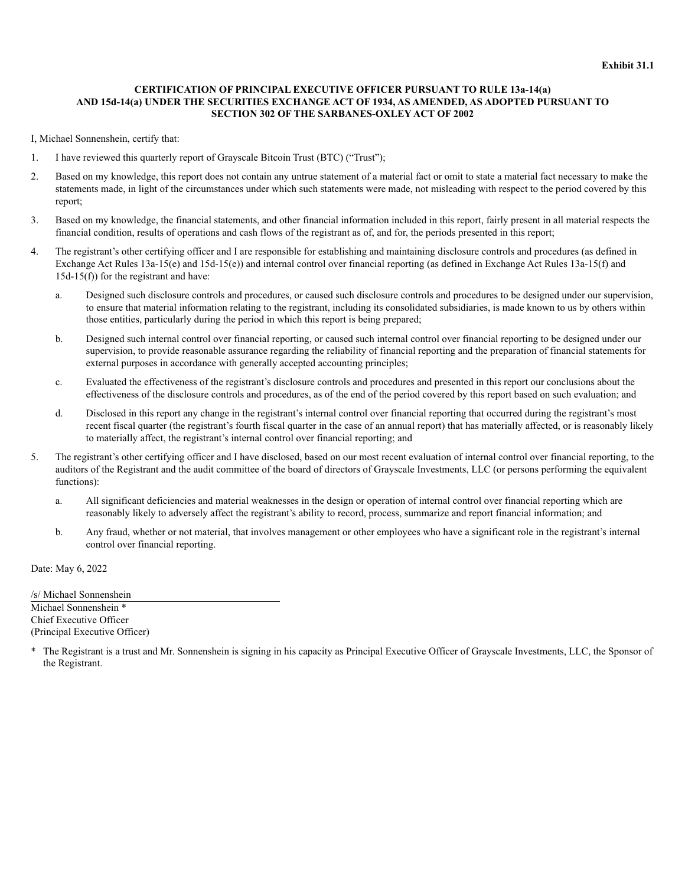# **CERTIFICATION OF PRINCIPAL EXECUTIVE OFFICER PURSUANT TO RULE 13a-14(a) AND 15d-14(a) UNDER THE SECURITIES EXCHANGE ACT OF 1934, AS AMENDED, AS ADOPTED PURSUANT TO SECTION 302 OF THE SARBANES-OXLEY ACT OF 2002**

I, Michael Sonnenshein, certify that:

- 1. I have reviewed this quarterly report of Grayscale Bitcoin Trust (BTC) ("Trust");
- 2. Based on my knowledge, this report does not contain any untrue statement of a material fact or omit to state a material fact necessary to make the statements made, in light of the circumstances under which such statements were made, not misleading with respect to the period covered by this report;
- 3. Based on my knowledge, the financial statements, and other financial information included in this report, fairly present in all material respects the financial condition, results of operations and cash flows of the registrant as of, and for, the periods presented in this report;
- 4. The registrant's other certifying officer and I are responsible for establishing and maintaining disclosure controls and procedures (as defined in Exchange Act Rules 13a-15(e) and 15d-15(e)) and internal control over financial reporting (as defined in Exchange Act Rules 13a-15(f) and 15d-15(f)) for the registrant and have:
	- a. Designed such disclosure controls and procedures, or caused such disclosure controls and procedures to be designed under our supervision, to ensure that material information relating to the registrant, including its consolidated subsidiaries, is made known to us by others within those entities, particularly during the period in which this report is being prepared;
	- b. Designed such internal control over financial reporting, or caused such internal control over financial reporting to be designed under our supervision, to provide reasonable assurance regarding the reliability of financial reporting and the preparation of financial statements for external purposes in accordance with generally accepted accounting principles;
	- c. Evaluated the effectiveness of the registrant's disclosure controls and procedures and presented in this report our conclusions about the effectiveness of the disclosure controls and procedures, as of the end of the period covered by this report based on such evaluation; and
	- d. Disclosed in this report any change in the registrant's internal control over financial reporting that occurred during the registrant's most recent fiscal quarter (the registrant's fourth fiscal quarter in the case of an annual report) that has materially affected, or is reasonably likely to materially affect, the registrant's internal control over financial reporting; and
- 5. The registrant's other certifying officer and I have disclosed, based on our most recent evaluation of internal control over financial reporting, to the auditors of the Registrant and the audit committee of the board of directors of Grayscale Investments, LLC (or persons performing the equivalent functions):
	- a. All significant deficiencies and material weaknesses in the design or operation of internal control over financial reporting which are reasonably likely to adversely affect the registrant's ability to record, process, summarize and report financial information; and
	- b. Any fraud, whether or not material, that involves management or other employees who have a significant role in the registrant's internal control over financial reporting.

Date: May 6, 2022

/s/ Michael Sonnenshein Michael Sonnenshein \* Chief Executive Officer (Principal Executive Officer)

\* The Registrant is a trust and Mr. Sonnenshein is signing in his capacity as Principal Executive Officer of Grayscale Investments, LLC, the Sponsor of the Registrant.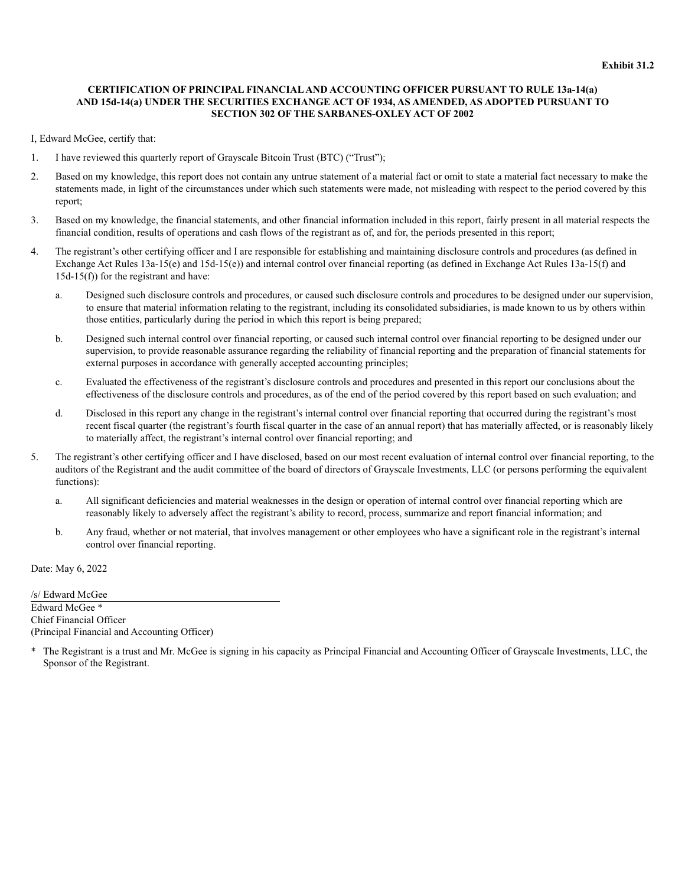# **CERTIFICATION OF PRINCIPAL FINANCIAL AND ACCOUNTING OFFICER PURSUANT TO RULE 13a-14(a) AND 15d-14(a) UNDER THE SECURITIES EXCHANGE ACT OF 1934, AS AMENDED, AS ADOPTED PURSUANT TO SECTION 302 OF THE SARBANES-OXLEY ACT OF 2002**

#### I, Edward McGee, certify that:

- 1. I have reviewed this quarterly report of Grayscale Bitcoin Trust (BTC) ("Trust");
- 2. Based on my knowledge, this report does not contain any untrue statement of a material fact or omit to state a material fact necessary to make the statements made, in light of the circumstances under which such statements were made, not misleading with respect to the period covered by this report;
- 3. Based on my knowledge, the financial statements, and other financial information included in this report, fairly present in all material respects the financial condition, results of operations and cash flows of the registrant as of, and for, the periods presented in this report;
- 4. The registrant's other certifying officer and I are responsible for establishing and maintaining disclosure controls and procedures (as defined in Exchange Act Rules 13a-15(e) and 15d-15(e)) and internal control over financial reporting (as defined in Exchange Act Rules 13a-15(f) and 15d-15 $(f)$ ) for the registrant and have:
	- a. Designed such disclosure controls and procedures, or caused such disclosure controls and procedures to be designed under our supervision, to ensure that material information relating to the registrant, including its consolidated subsidiaries, is made known to us by others within those entities, particularly during the period in which this report is being prepared;
	- b. Designed such internal control over financial reporting, or caused such internal control over financial reporting to be designed under our supervision, to provide reasonable assurance regarding the reliability of financial reporting and the preparation of financial statements for external purposes in accordance with generally accepted accounting principles;
	- c. Evaluated the effectiveness of the registrant's disclosure controls and procedures and presented in this report our conclusions about the effectiveness of the disclosure controls and procedures, as of the end of the period covered by this report based on such evaluation; and
	- d. Disclosed in this report any change in the registrant's internal control over financial reporting that occurred during the registrant's most recent fiscal quarter (the registrant's fourth fiscal quarter in the case of an annual report) that has materially affected, or is reasonably likely to materially affect, the registrant's internal control over financial reporting; and
- 5. The registrant's other certifying officer and I have disclosed, based on our most recent evaluation of internal control over financial reporting, to the auditors of the Registrant and the audit committee of the board of directors of Grayscale Investments, LLC (or persons performing the equivalent functions):
	- a. All significant deficiencies and material weaknesses in the design or operation of internal control over financial reporting which are reasonably likely to adversely affect the registrant's ability to record, process, summarize and report financial information; and
	- b. Any fraud, whether or not material, that involves management or other employees who have a significant role in the registrant's internal control over financial reporting.

Date: May 6, 2022

/s/ Edward McGee Edward McGee \* Chief Financial Officer (Principal Financial and Accounting Officer)

\* The Registrant is a trust and Mr. McGee is signing in his capacity as Principal Financial and Accounting Officer of Grayscale Investments, LLC, the Sponsor of the Registrant.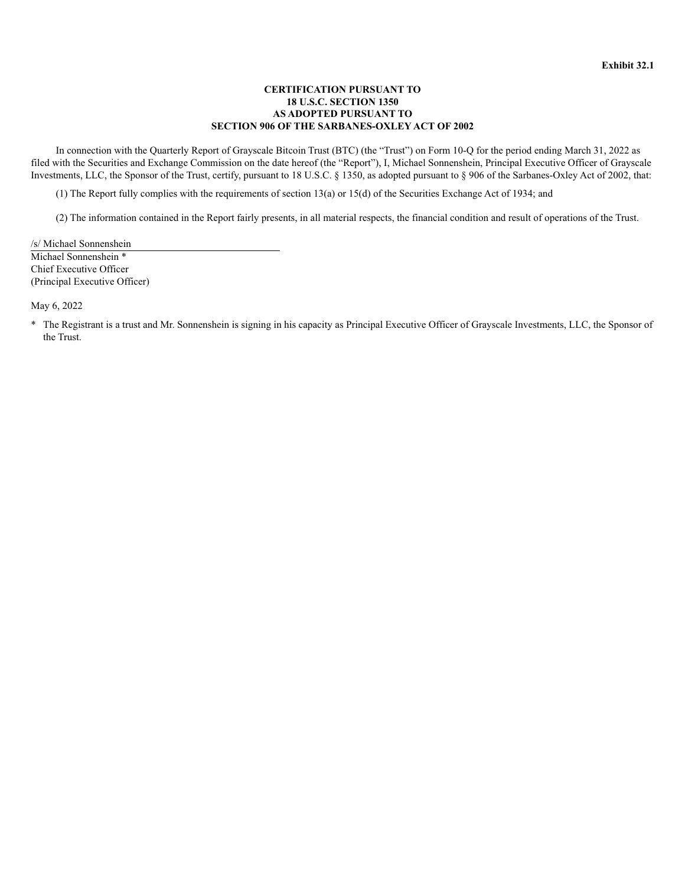# **CERTIFICATION PURSUANT TO 18 U.S.C. SECTION 1350 AS ADOPTED PURSUANT TO SECTION 906 OF THE SARBANES-OXLEY ACT OF 2002**

In connection with the Quarterly Report of Grayscale Bitcoin Trust (BTC) (the "Trust") on Form 10-Q for the period ending March 31, 2022 as filed with the Securities and Exchange Commission on the date hereof (the "Report"), I, Michael Sonnenshein, Principal Executive Officer of Grayscale Investments, LLC, the Sponsor of the Trust, certify, pursuant to 18 U.S.C. § 1350, as adopted pursuant to § 906 of the Sarbanes-Oxley Act of 2002, that:

(1) The Report fully complies with the requirements of section 13(a) or 15(d) of the Securities Exchange Act of 1934; and

(2) The information contained in the Report fairly presents, in all material respects, the financial condition and result of operations of the Trust.

/s/ Michael Sonnenshein Michael Sonnenshein \* Chief Executive Officer (Principal Executive Officer)

May 6, 2022

\* The Registrant is a trust and Mr. Sonnenshein is signing in his capacity as Principal Executive Officer of Grayscale Investments, LLC, the Sponsor of the Trust.